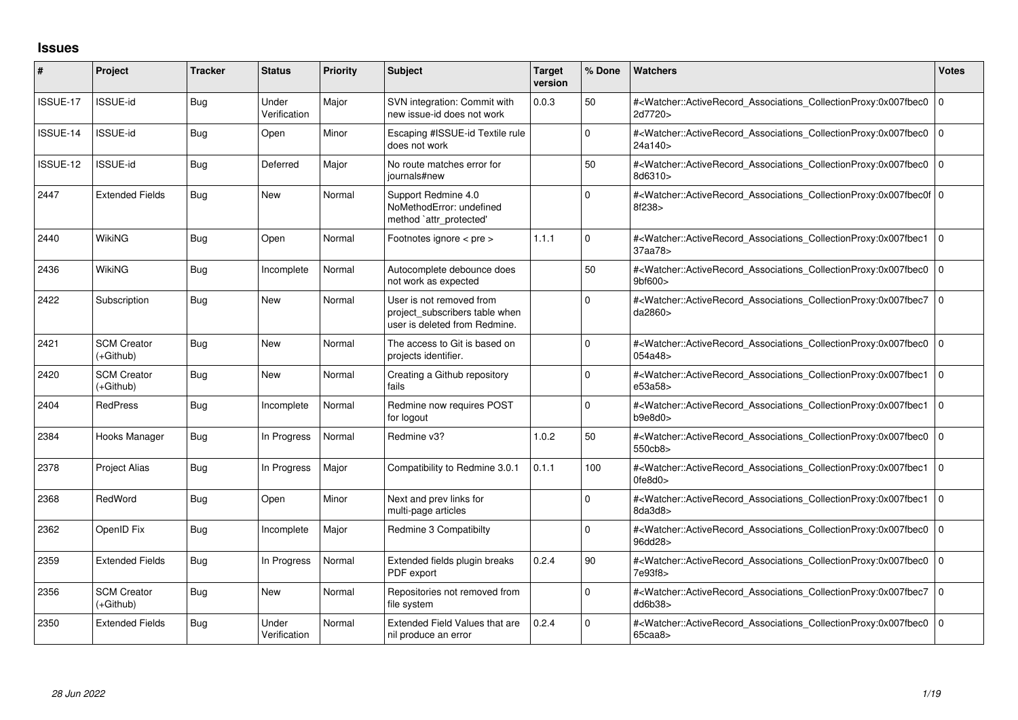## **Issues**

| #        | Project                         | <b>Tracker</b> | <b>Status</b>         | <b>Priority</b> | <b>Subject</b>                                                                              | <b>Target</b><br>version | % Done      | <b>Watchers</b>                                                                                                                                                               | <b>Votes</b>   |
|----------|---------------------------------|----------------|-----------------------|-----------------|---------------------------------------------------------------------------------------------|--------------------------|-------------|-------------------------------------------------------------------------------------------------------------------------------------------------------------------------------|----------------|
| ISSUE-17 | <b>ISSUE-id</b>                 | <b>Bug</b>     | Under<br>Verification | Major           | SVN integration: Commit with<br>new issue-id does not work                                  | 0.0.3                    | 50          | # <watcher::activerecord_associations_collectionproxy:0x007fbec0 0<br="">2d7720&gt;</watcher::activerecord_associations_collectionproxy:0x007fbec0>                           |                |
| ISSUE-14 | <b>ISSUE-id</b>                 | Bug            | Open                  | Minor           | Escaping #ISSUE-id Textile rule<br>does not work                                            |                          | $\Omega$    | # <watcher::activerecord_associations_collectionproxy:0x007fbec0 0<br=""  ="">24a140&gt;</watcher::activerecord_associations_collectionproxy:0x007fbec0>                      |                |
| ISSUE-12 | <b>ISSUE-id</b>                 | <b>Bug</b>     | Deferred              | Major           | No route matches error for<br>journals#new                                                  |                          | 50          | # <watcher::activerecord_associations_collectionproxy:0x007fbec0 0<br=""  ="">8d6310&gt;</watcher::activerecord_associations_collectionproxy:0x007fbec0>                      |                |
| 2447     | <b>Extended Fields</b>          | <b>Bug</b>     | <b>New</b>            | Normal          | Support Redmine 4.0<br>NoMethodError: undefined<br>method 'attr_protected'                  |                          | $\Omega$    | # <watcher::activerecord_associations_collectionproxy:0x007fbec0f 0<br=""  ="">8f238&gt;</watcher::activerecord_associations_collectionproxy:0x007fbec0f>                     |                |
| 2440     | WikiNG                          | Bug            | Open                  | Normal          | Footnotes ignore $\lt$ pre $\gt$                                                            | 1.1.1                    | $\Omega$    | # <watcher::activerecord_associations_collectionproxy:0x007fbec1<br>37aa78&gt;</watcher::activerecord_associations_collectionproxy:0x007fbec1<br>                             | $\overline{0}$ |
| 2436     | WikiNG                          | <b>Bug</b>     | Incomplete            | Normal          | Autocomplete debounce does<br>not work as expected                                          |                          | 50          | # <watcher::activerecord_associations_collectionproxy:0x007fbec0 0<br=""><math>9b</math>f600<math>&gt;</math></watcher::activerecord_associations_collectionproxy:0x007fbec0> |                |
| 2422     | Subscription                    | <b>Bug</b>     | <b>New</b>            | Normal          | User is not removed from<br>project_subscribers table when<br>user is deleted from Redmine. |                          | $\Omega$    | # <watcher::activerecord_associations_collectionproxy:0x007fbec7 0<br=""  ="">da2860&gt;</watcher::activerecord_associations_collectionproxy:0x007fbec7>                      |                |
| 2421     | <b>SCM Creator</b><br>(+Github) | <b>Bug</b>     | <b>New</b>            | Normal          | The access to Git is based on<br>projects identifier.                                       |                          | $\mathbf 0$ | # <watcher::activerecord_associations_collectionproxy:0x007fbec0 0<br="">054a48&gt;</watcher::activerecord_associations_collectionproxy:0x007fbec0>                           |                |
| 2420     | <b>SCM Creator</b><br>(+Github) | <b>Bug</b>     | <b>New</b>            | Normal          | Creating a Github repository<br>fails                                                       |                          | $\Omega$    | # <watcher::activerecord_associations_collectionproxy:0x007fbec1<br>e53a58&gt;</watcher::activerecord_associations_collectionproxy:0x007fbec1<br>                             | l O            |
| 2404     | <b>RedPress</b>                 | Bug            | Incomplete            | Normal          | Redmine now requires POST<br>for logout                                                     |                          | $\Omega$    | # <watcher::activerecord_associations_collectionproxy:0x007fbec1<br>b9e8d0&gt;</watcher::activerecord_associations_collectionproxy:0x007fbec1<br>                             | ١o             |
| 2384     | Hooks Manager                   | <b>Bug</b>     | In Progress           | Normal          | Redmine v3?                                                                                 | 1.0.2                    | 50          | # <watcher::activerecord_associations_collectionproxy:0x007fbec0 0<br=""  ="">550cb8&gt;</watcher::activerecord_associations_collectionproxy:0x007fbec0>                      |                |
| 2378     | <b>Project Alias</b>            | <b>Bug</b>     | In Progress           | Major           | Compatibility to Redmine 3.0.1                                                              | 0.1.1                    | 100         | # <watcher::activerecord_associations_collectionproxy:0x007fbec1<br>0fe8d0</watcher::activerecord_associations_collectionproxy:0x007fbec1<br>                                 | l o            |
| 2368     | RedWord                         | Bug            | Open                  | Minor           | Next and prev links for<br>multi-page articles                                              |                          | 0           | # <watcher::activerecord_associations_collectionproxy:0x007fbec1<br>8da3d8&gt;</watcher::activerecord_associations_collectionproxy:0x007fbec1<br>                             | l O            |
| 2362     | OpenID Fix                      | <b>Bug</b>     | Incomplete            | Major           | Redmine 3 Compatibilty                                                                      |                          | $\Omega$    | # <watcher::activerecord_associations_collectionproxy:0x007fbec0 0<br=""  ="">96dd28&gt;</watcher::activerecord_associations_collectionproxy:0x007fbec0>                      |                |
| 2359     | <b>Extended Fields</b>          | <b>Bug</b>     | In Progress           | Normal          | Extended fields plugin breaks<br>PDF export                                                 | 0.2.4                    | 90          | # <watcher::activerecord 0<br="" associations="" collectionproxy:0x007fbec0=""  ="">7e93f8&gt;</watcher::activerecord>                                                        |                |
| 2356     | <b>SCM Creator</b><br>(+Github) | <b>Bug</b>     | <b>New</b>            | Normal          | Repositories not removed from<br>file system                                                |                          | $\Omega$    | # <watcher::activerecord_associations_collectionproxy:0x007fbec7 0<br=""  ="">dd6b38&gt;</watcher::activerecord_associations_collectionproxy:0x007fbec7>                      |                |
| 2350     | <b>Extended Fields</b>          | <b>Bug</b>     | Under<br>Verification | Normal          | Extended Field Values that are<br>nil produce an error                                      | 0.2.4                    | $\Omega$    | # <watcher::activerecord associations="" collectionproxy:0x007fbec0<br="">65caa8</watcher::activerecord>                                                                      | l 0            |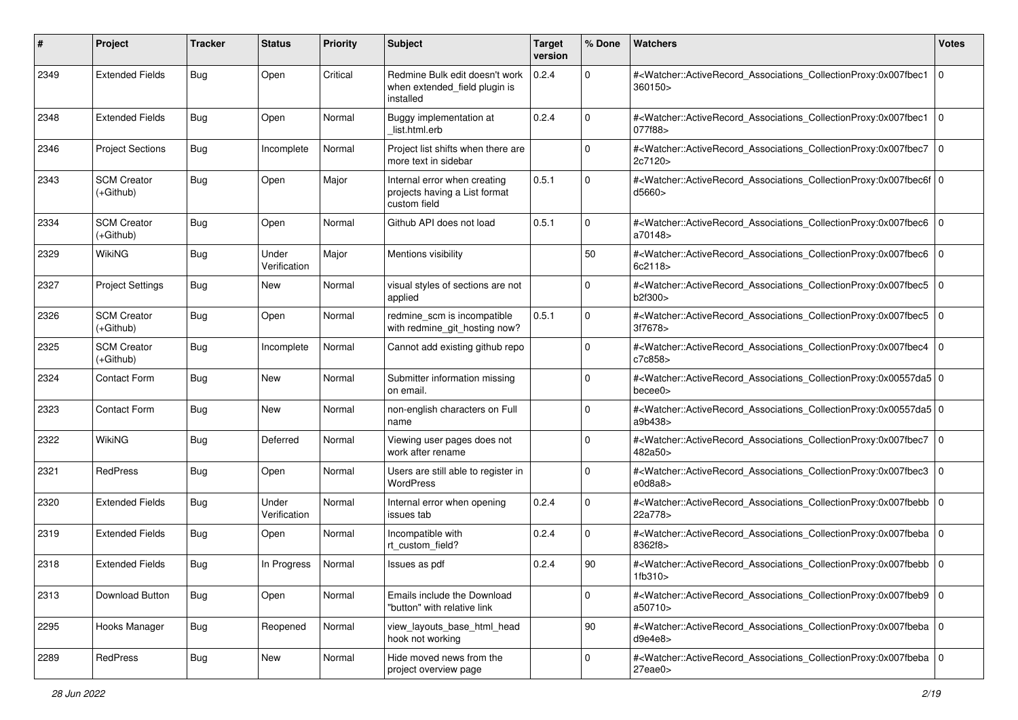| #    | Project                           | <b>Tracker</b> | <b>Status</b>         | <b>Priority</b> | <b>Subject</b>                                                                | <b>Target</b><br>version | % Done      | <b>Watchers</b>                                                                                                                                           | <b>Votes</b> |
|------|-----------------------------------|----------------|-----------------------|-----------------|-------------------------------------------------------------------------------|--------------------------|-------------|-----------------------------------------------------------------------------------------------------------------------------------------------------------|--------------|
| 2349 | <b>Extended Fields</b>            | Bug            | Open                  | Critical        | Redmine Bulk edit doesn't work<br>when extended_field plugin is<br>installed  | 0.2.4                    | $\mathbf 0$ | # <watcher::activerecord_associations_collectionproxy:0x007fbec1<br>360150&gt;</watcher::activerecord_associations_collectionproxy:0x007fbec1<br>         | l O          |
| 2348 | <b>Extended Fields</b>            | Bug            | Open                  | Normal          | Buggy implementation at<br>list.html.erb                                      | 0.2.4                    | $\mathbf 0$ | # <watcher::activerecord_associations_collectionproxy:0x007fbec1 0<br=""  ="">077f88&gt;</watcher::activerecord_associations_collectionproxy:0x007fbec1>  |              |
| 2346 | <b>Project Sections</b>           | <b>Bug</b>     | Incomplete            | Normal          | Project list shifts when there are<br>more text in sidebar                    |                          | $\mathbf 0$ | # <watcher::activerecord_associations_collectionproxy:0x007fbec7 0<br=""  ="">2c7120&gt;</watcher::activerecord_associations_collectionproxy:0x007fbec7>  |              |
| 2343 | <b>SCM Creator</b><br>(+Github)   | <b>Bug</b>     | Open                  | Major           | Internal error when creating<br>projects having a List format<br>custom field | 0.5.1                    | 0           | # <watcher::activerecord_associations_collectionproxy:0x007fbec6f 0<br=""  ="">d5660&gt;</watcher::activerecord_associations_collectionproxy:0x007fbec6f> |              |
| 2334 | <b>SCM Creator</b><br>$(+Github)$ | Bug            | Open                  | Normal          | Github API does not load                                                      | 0.5.1                    | 0           | # <watcher::activerecord_associations_collectionproxy:0x007fbec6 0<br="">a70148&gt;</watcher::activerecord_associations_collectionproxy:0x007fbec6>       |              |
| 2329 | <b>WikiNG</b>                     | Bug            | Under<br>Verification | Major           | Mentions visibility                                                           |                          | 50          | # <watcher::activerecord_associations_collectionproxy:0x007fbec6 0<br=""  ="">6c2118&gt;</watcher::activerecord_associations_collectionproxy:0x007fbec6>  |              |
| 2327 | <b>Project Settings</b>           | <b>Bug</b>     | <b>New</b>            | Normal          | visual styles of sections are not<br>applied                                  |                          | 0           | # <watcher::activerecord_associations_collectionproxy:0x007fbec5 0<br=""  ="">b2f300&gt;</watcher::activerecord_associations_collectionproxy:0x007fbec5>  |              |
| 2326 | <b>SCM Creator</b><br>(+Github)   | <b>Bug</b>     | Open                  | Normal          | redmine_scm is incompatible<br>with redmine git hosting now?                  | 0.5.1                    | 0           | # <watcher::activerecord_associations_collectionproxy:0x007fbec5 0<br=""  ="">3f7678&gt;</watcher::activerecord_associations_collectionproxy:0x007fbec5>  |              |
| 2325 | <b>SCM Creator</b><br>$(+Github)$ | <b>Bug</b>     | Incomplete            | Normal          | Cannot add existing github repo                                               |                          | 0           | # <watcher::activerecord_associations_collectionproxy:0x007fbec4 0<br=""  ="">c7c858&gt;</watcher::activerecord_associations_collectionproxy:0x007fbec4>  |              |
| 2324 | Contact Form                      | <b>Bug</b>     | <b>New</b>            | Normal          | Submitter information missing<br>on email.                                    |                          | 0           | # <watcher::activerecord_associations_collectionproxy:0x00557da5 0<br="">bece0</watcher::activerecord_associations_collectionproxy:0x00557da5>            |              |
| 2323 | Contact Form                      | Bug            | <b>New</b>            | Normal          | non-english characters on Full<br>name                                        |                          | $\mathbf 0$ | # <watcher::activerecord_associations_collectionproxy:0x00557da5 0<br=""  ="">a9b438&gt;</watcher::activerecord_associations_collectionproxy:0x00557da5>  |              |
| 2322 | <b>WikiNG</b>                     | <b>Bug</b>     | Deferred              | Normal          | Viewing user pages does not<br>work after rename                              |                          | 0           | # <watcher::activerecord_associations_collectionproxy:0x007fbec7 0<br="">482a50&gt;</watcher::activerecord_associations_collectionproxy:0x007fbec7>       |              |
| 2321 | RedPress                          | Bug            | Open                  | Normal          | Users are still able to register in<br>WordPress                              |                          | $\mathbf 0$ | # <watcher::activerecord_associations_collectionproxy:0x007fbec3 0<br=""  ="">e0d8a8</watcher::activerecord_associations_collectionproxy:0x007fbec3>      |              |
| 2320 | <b>Extended Fields</b>            | Bug            | Under<br>Verification | Normal          | Internal error when opening<br>issues tab                                     | 0.2.4                    | $\mathbf 0$ | # <watcher::activerecord_associations_collectionproxy:0x007fbebb 0<br=""  ="">22a778&gt;</watcher::activerecord_associations_collectionproxy:0x007fbebb>  |              |
| 2319 | <b>Extended Fields</b>            | Bug            | Open                  | Normal          | Incompatible with<br>rt_custom_field?                                         | 0.2.4                    | $\mathbf 0$ | # <watcher::activerecord_associations_collectionproxy:0x007fbeba 0<br="">8362f8&gt;</watcher::activerecord_associations_collectionproxy:0x007fbeba>       |              |
| 2318 | <b>Extended Fields</b>            | <b>Bug</b>     | In Progress           | Normal          | Issues as pdf                                                                 | 0.2.4                    | 90          | # <watcher::activerecord_associations_collectionproxy:0x007fbebb 0<br="">1fb310&gt;</watcher::activerecord_associations_collectionproxy:0x007fbebb>       |              |
| 2313 | Download Button                   | Bug            | Open                  | Normal          | Emails include the Download<br>"button" with relative link                    |                          | 0           | # <watcher::activerecord_associations_collectionproxy:0x007fbeb9 0<br=""  ="">a50710&gt;</watcher::activerecord_associations_collectionproxy:0x007fbeb9>  |              |
| 2295 | Hooks Manager                     | Bug            | Reopened              | Normal          | view_layouts_base_html_head<br>hook not working                               |                          | 90          | # <watcher::activerecord_associations_collectionproxy:0x007fbeba 0<br=""  ="">d9e4e8</watcher::activerecord_associations_collectionproxy:0x007fbeba>      |              |
| 2289 | RedPress                          | <b>Bug</b>     | New                   | Normal          | Hide moved news from the<br>project overview page                             |                          | 0           | # <watcher::activerecord 0<br="" associations="" collectionproxy:0x007fbeba="">27eae0&gt;</watcher::activerecord>                                         |              |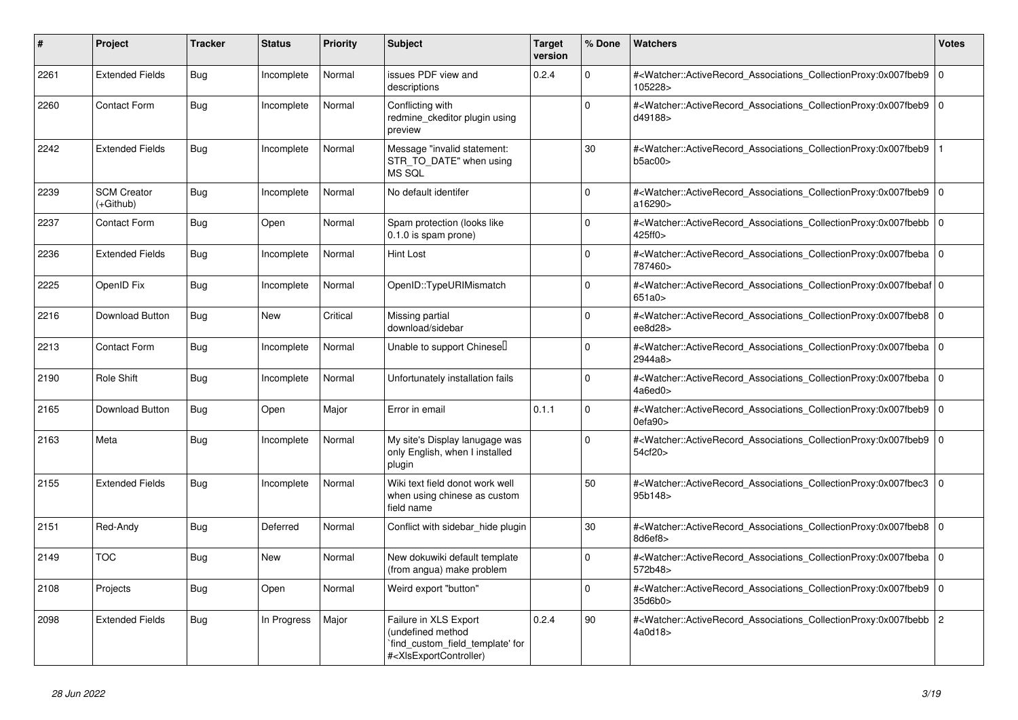| $\vert$ # | <b>Project</b>                  | <b>Tracker</b> | <b>Status</b> | <b>Priority</b> | <b>Subject</b>                                                                                                                                                                                                                                                                                                                                               | <b>Target</b><br>version | % Done   | Watchers                                                                                                                                                 | <b>Votes</b>   |
|-----------|---------------------------------|----------------|---------------|-----------------|--------------------------------------------------------------------------------------------------------------------------------------------------------------------------------------------------------------------------------------------------------------------------------------------------------------------------------------------------------------|--------------------------|----------|----------------------------------------------------------------------------------------------------------------------------------------------------------|----------------|
| 2261      | <b>Extended Fields</b>          | <b>Bug</b>     | Incomplete    | Normal          | issues PDF view and<br>descriptions                                                                                                                                                                                                                                                                                                                          | 0.2.4                    | $\Omega$ | # <watcher::activerecord_associations_collectionproxy:0x007fbeb9<br>105228&gt;</watcher::activerecord_associations_collectionproxy:0x007fbeb9<br>        | l o            |
| 2260      | <b>Contact Form</b>             | <b>Bug</b>     | Incomplete    | Normal          | Conflicting with<br>redmine ckeditor plugin using<br>preview                                                                                                                                                                                                                                                                                                 |                          | 0        | # <watcher::activerecord_associations_collectionproxy:0x007fbeb9 0<br=""  ="">d49188&gt;</watcher::activerecord_associations_collectionproxy:0x007fbeb9> |                |
| 2242      | <b>Extended Fields</b>          | Bug            | Incomplete    | Normal          | Message "invalid statement:<br>STR_TO_DATE" when using<br>MS SQL                                                                                                                                                                                                                                                                                             |                          | 30       | # <watcher::activerecord_associations_collectionproxy:0x007fbeb9<br>b5ac00&gt;</watcher::activerecord_associations_collectionproxy:0x007fbeb9<br>        |                |
| 2239      | <b>SCM Creator</b><br>(+Github) | Bug            | Incomplete    | Normal          | No default identifer                                                                                                                                                                                                                                                                                                                                         |                          | $\Omega$ | # <watcher::activerecord 0<br="" associations="" collectionproxy:0x007fbeb9=""  ="">a16290&gt;</watcher::activerecord>                                   |                |
| 2237      | Contact Form                    | <b>Bug</b>     | Open          | Normal          | Spam protection (looks like<br>0.1.0 is spam prone)                                                                                                                                                                                                                                                                                                          |                          | $\Omega$ | # <watcher::activerecord_associations_collectionproxy:0x007fbebb<br>425ff0&gt;</watcher::activerecord_associations_collectionproxy:0x007fbebb<br>        | $\overline{0}$ |
| 2236      | <b>Extended Fields</b>          | <b>Bug</b>     | Incomplete    | Normal          | <b>Hint Lost</b>                                                                                                                                                                                                                                                                                                                                             |                          | $\Omega$ | # <watcher::activerecord_associations_collectionproxy:0x007fbeba 0<br="">787460&gt;</watcher::activerecord_associations_collectionproxy:0x007fbeba>      |                |
| 2225      | OpenID Fix                      | Bug            | Incomplete    | Normal          | OpenID::TypeURIMismatch                                                                                                                                                                                                                                                                                                                                      |                          | $\Omega$ | # <watcher::activerecord 0<br="" associations="" collectionproxy:0x007fbebaf=""  ="">651a0 &gt;</watcher::activerecord>                                  |                |
| 2216      | Download Button                 | Bug            | New           | Critical        | Missing partial<br>download/sidebar                                                                                                                                                                                                                                                                                                                          |                          | $\Omega$ | # <watcher::activerecord_associations_collectionproxy:0x007fbeb8<br>ee8d28</watcher::activerecord_associations_collectionproxy:0x007fbeb8<br>            | $\overline{0}$ |
| 2213      | <b>Contact Form</b>             | Bug            | Incomplete    | Normal          | Unable to support Chinesel                                                                                                                                                                                                                                                                                                                                   |                          | $\Omega$ | # <watcher::activerecord_associations_collectionproxy:0x007fbeba<br>2944a8&gt;</watcher::activerecord_associations_collectionproxy:0x007fbeba<br>        | l O            |
| 2190      | Role Shift                      | Bug            | Incomplete    | Normal          | Unfortunately installation fails                                                                                                                                                                                                                                                                                                                             |                          | $\Omega$ | # <watcher::activerecord associations="" collectionproxy:0x007fbeba<br="">4a6ed0&gt;</watcher::activerecord>                                             | l O            |
| 2165      | Download Button                 | Bug            | Open          | Major           | Error in email                                                                                                                                                                                                                                                                                                                                               | 0.1.1                    | $\Omega$ | # <watcher::activerecord_associations_collectionproxy:0x007fbeb9<br>0efa90&gt;</watcher::activerecord_associations_collectionproxy:0x007fbeb9<br>        | 0              |
| 2163      | Meta                            | Bug            | Incomplete    | Normal          | My site's Display lanugage was<br>only English, when I installed<br>plugin                                                                                                                                                                                                                                                                                   |                          | $\Omega$ | # <watcher::activerecord 0<br="" associations="" collectionproxy:0x007fbeb9=""  ="">54cf20&gt;</watcher::activerecord>                                   |                |
| 2155      | <b>Extended Fields</b>          | Bug            | Incomplete    | Normal          | Wiki text field donot work well<br>when using chinese as custom<br>field name                                                                                                                                                                                                                                                                                |                          | 50       | # <watcher::activerecord_associations_collectionproxy:0x007fbec3<br>95b148&gt;</watcher::activerecord_associations_collectionproxy:0x007fbec3<br>        | 0              |
| 2151      | Red-Andy                        | Bug            | Deferred      | Normal          | Conflict with sidebar hide plugin                                                                                                                                                                                                                                                                                                                            |                          | 30       | # <watcher::activerecord 0<br="" associations="" collectionproxy:0x007fbeb8="">8d6ef8&gt;</watcher::activerecord>                                        |                |
| 2149      | <b>TOC</b>                      | Bug            | New           | Normal          | New dokuwiki default template<br>(from angua) make problem                                                                                                                                                                                                                                                                                                   |                          | $\Omega$ | # <watcher::activerecord_associations_collectionproxy:0x007fbeba<br>572b48&gt;</watcher::activerecord_associations_collectionproxy:0x007fbeba<br>        | l o            |
| 2108      | Projects                        | <b>Bug</b>     | Open          | Normal          | Weird export "button"                                                                                                                                                                                                                                                                                                                                        |                          | $\Omega$ | # <watcher::activerecord_associations_collectionproxy:0x007fbeb9<br>35d6b0&gt;</watcher::activerecord_associations_collectionproxy:0x007fbeb9<br>        | $\overline{0}$ |
| 2098      | <b>Extended Fields</b>          | <b>Bug</b>     | In Progress   | Major           | Failure in XLS Export<br>(undefined method<br>find_custom_field_template' for<br># <xlsexportcontroller)< td=""><td>0.2.4</td><td>90</td><td>#<watcher::activerecord_associations_collectionproxy:0x007fbebb<br>4a0d18&gt;</watcher::activerecord_associations_collectionproxy:0x007fbebb<br></td><td><math>\overline{2}</math></td></xlsexportcontroller)<> | 0.2.4                    | 90       | # <watcher::activerecord_associations_collectionproxy:0x007fbebb<br>4a0d18&gt;</watcher::activerecord_associations_collectionproxy:0x007fbebb<br>        | $\overline{2}$ |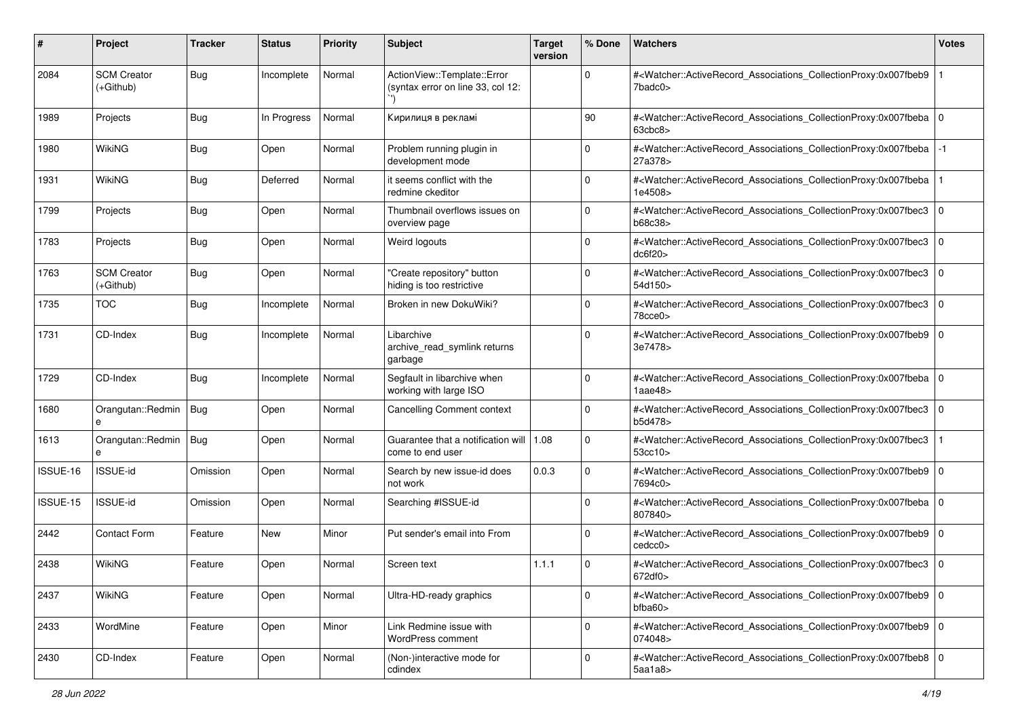| #        | Project                         | <b>Tracker</b> | <b>Status</b> | <b>Priority</b> | <b>Subject</b>                                                   | <b>Target</b><br>version | % Done      | <b>Watchers</b>                                                                                                                                                                | <b>Votes</b> |
|----------|---------------------------------|----------------|---------------|-----------------|------------------------------------------------------------------|--------------------------|-------------|--------------------------------------------------------------------------------------------------------------------------------------------------------------------------------|--------------|
| 2084     | <b>SCM Creator</b><br>(+Github) | <b>Bug</b>     | Incomplete    | Normal          | ActionView::Template::Error<br>(syntax error on line 33, col 12: |                          | 0           | # <watcher::activerecord_associations_collectionproxy:0x007fbeb9<br>7badc0&gt;</watcher::activerecord_associations_collectionproxy:0x007fbeb9<br>                              |              |
| 1989     | Projects                        | <b>Bug</b>     | In Progress   | Normal          | Кирилиця в рекламі                                               |                          | 90          | # <watcher::activerecord_associations_collectionproxy:0x007fbeba 0<br=""  =""><math>63</math>cbc<math>8</math></watcher::activerecord_associations_collectionproxy:0x007fbeba> |              |
| 1980     | <b>WikiNG</b>                   | <b>Bug</b>     | Open          | Normal          | Problem running plugin in<br>development mode                    |                          | 0           | # <watcher::activerecord_associations_collectionproxy:0x007fbeba<br>27a378&gt;</watcher::activerecord_associations_collectionproxy:0x007fbeba<br>                              |              |
| 1931     | <b>WikiNG</b>                   | <b>Bug</b>     | Deferred      | Normal          | it seems conflict with the<br>redmine ckeditor                   |                          | 0           | # <watcher::activerecord_associations_collectionproxy:0x007fbeba<br>1e4508&gt;</watcher::activerecord_associations_collectionproxy:0x007fbeba<br>                              |              |
| 1799     | Projects                        | <b>Bug</b>     | Open          | Normal          | Thumbnail overflows issues on<br>overview page                   |                          | 0           | # <watcher::activerecord_associations_collectionproxy:0x007fbec3 0<br="">b68c38&gt;</watcher::activerecord_associations_collectionproxy:0x007fbec3>                            |              |
| 1783     | Projects                        | <b>Bug</b>     | Open          | Normal          | Weird logouts                                                    |                          | 0           | # <watcher::activerecord_associations_collectionproxy:0x007fbec3 0<br=""  ="">dc6f20&gt;</watcher::activerecord_associations_collectionproxy:0x007fbec3>                       |              |
| 1763     | <b>SCM Creator</b><br>(+Github) | <b>Bug</b>     | Open          | Normal          | "Create repository" button<br>hiding is too restrictive          |                          | 0           | # <watcher::activerecord_associations_collectionproxy:0x007fbec3 0<br="">54d150&gt;</watcher::activerecord_associations_collectionproxy:0x007fbec3>                            |              |
| 1735     | <b>TOC</b>                      | <b>Bug</b>     | Incomplete    | Normal          | Broken in new DokuWiki?                                          |                          | $\Omega$    | # <watcher::activerecord_associations_collectionproxy:0x007fbec3 0<br="">78cce0&gt;</watcher::activerecord_associations_collectionproxy:0x007fbec3>                            |              |
| 1731     | CD-Index                        | <b>Bug</b>     | Incomplete    | Normal          | Libarchive<br>archive_read_symlink returns<br>garbage            |                          | 0           | # <watcher::activerecord_associations_collectionproxy:0x007fbeb9 0<br="">3e7478&gt;</watcher::activerecord_associations_collectionproxy:0x007fbeb9>                            |              |
| 1729     | CD-Index                        | <b>Bug</b>     | Incomplete    | Normal          | Segfault in libarchive when<br>working with large ISO            |                          | 0           | # <watcher::activerecord_associations_collectionproxy:0x007fbeba 0<br="">1aae48</watcher::activerecord_associations_collectionproxy:0x007fbeba>                                |              |
| 1680     | Orangutan::Redmin<br>$\theta$   | Bug            | Open          | Normal          | Cancelling Comment context                                       |                          | $\mathbf 0$ | # <watcher::activerecord_associations_collectionproxy:0x007fbec3 0<br="">b5d478&gt;</watcher::activerecord_associations_collectionproxy:0x007fbec3>                            |              |
| 1613     | Orangutan::Redmin<br>e          | <b>Bug</b>     | Open          | Normal          | Guarantee that a notification will   1.08<br>come to end user    |                          | 0           | # <watcher::activerecord_associations_collectionproxy:0x007fbec3<br>53cc10&gt;</watcher::activerecord_associations_collectionproxy:0x007fbec3<br>                              |              |
| ISSUE-16 | ISSUE-id                        | Omission       | Open          | Normal          | Search by new issue-id does<br>not work                          | 0.0.3                    | 0           | # <watcher::activerecord_associations_collectionproxy:0x007fbeb9 0<br=""  ="">7694c0&gt;</watcher::activerecord_associations_collectionproxy:0x007fbeb9>                       |              |
| ISSUE-15 | ISSUE-id                        | Omission       | Open          | Normal          | Searching #ISSUE-id                                              |                          | 0           | # <watcher::activerecord_associations_collectionproxy:0x007fbeba 0<br="">807840&gt;</watcher::activerecord_associations_collectionproxy:0x007fbeba>                            |              |
| 2442     | Contact Form                    | Feature        | <b>New</b>    | Minor           | Put sender's email into From                                     |                          | 0           | # <watcher::activerecord_associations_collectionproxy:0x007fbeb9 0<br="">cedcc0</watcher::activerecord_associations_collectionproxy:0x007fbeb9>                                |              |
| 2438     | <b>WikiNG</b>                   | Feature        | Open          | Normal          | Screen text                                                      | 1.1.1                    | 0           | # <watcher::activerecord_associations_collectionproxy:0x007fbec3 0<br="">672df0&gt;</watcher::activerecord_associations_collectionproxy:0x007fbec3>                            |              |
| 2437     | WikiNG                          | Feature        | Open          | Normal          | Ultra-HD-ready graphics                                          |                          | 0           | # <watcher::activerecord_associations_collectionproxy:0x007fbeb9 0<br=""  ="">bfba60</watcher::activerecord_associations_collectionproxy:0x007fbeb9>                           |              |
| 2433     | WordMine                        | Feature        | Open          | Minor           | Link Redmine issue with<br>WordPress comment                     |                          | $\mathbf 0$ | # <watcher::activerecord 0<br="" associations="" collectionproxy:0x007fbeb9="">074048&gt;</watcher::activerecord>                                                              |              |
| 2430     | CD-Index                        | Feature        | Open          | Normal          | (Non-)interactive mode for<br>cdindex                            |                          | 0           | # <watcher::activerecord_associations_collectionproxy:0x007fbeb8 0<br=""  =""><math>5</math>aa1a<math>8</math></watcher::activerecord_associations_collectionproxy:0x007fbeb8> |              |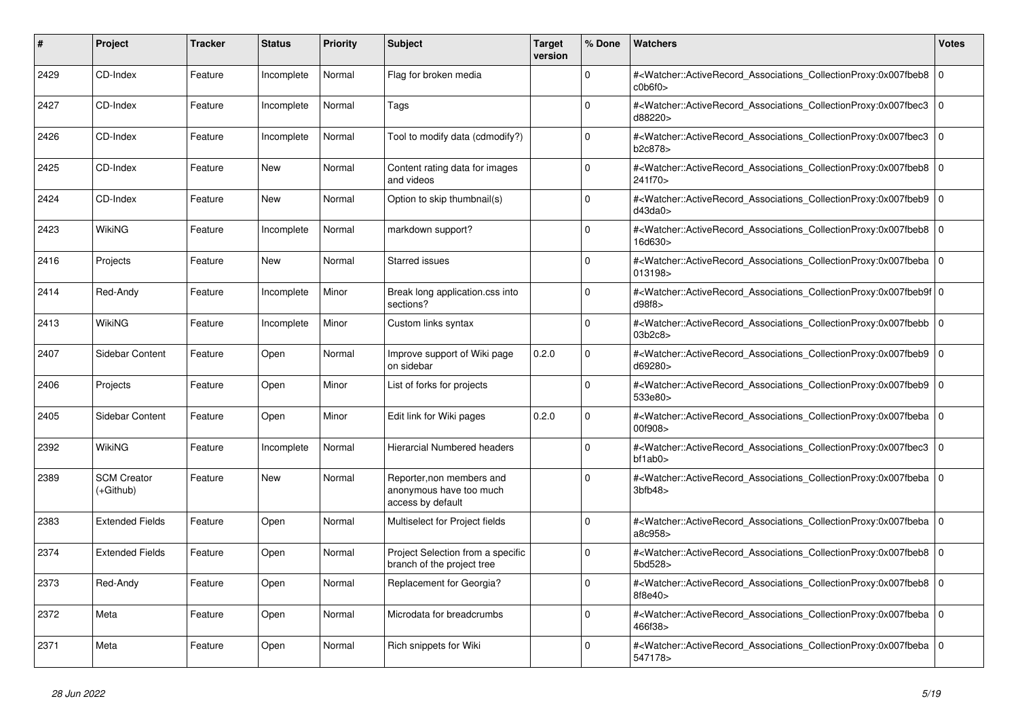| #    | Project                         | Tracker | <b>Status</b> | <b>Priority</b> | <b>Subject</b>                                                            | <b>Target</b><br>version | % Done   | <b>Watchers</b>                                                                                                                                                         | <b>Votes</b> |
|------|---------------------------------|---------|---------------|-----------------|---------------------------------------------------------------------------|--------------------------|----------|-------------------------------------------------------------------------------------------------------------------------------------------------------------------------|--------------|
| 2429 | CD-Index                        | Feature | Incomplete    | Normal          | Flag for broken media                                                     |                          | $\Omega$ | # <watcher::activerecord associations="" collectionproxy:0x007fbeb8<br="">c0b6f0&gt;</watcher::activerecord>                                                            | $\mathbf 0$  |
| 2427 | CD-Index                        | Feature | Incomplete    | Normal          | Tags                                                                      |                          | $\Omega$ | # <watcher::activerecord associations="" collectionproxy:0x007fbec3<br="">d88220&gt;</watcher::activerecord>                                                            | $\mathbf{0}$ |
| 2426 | CD-Index                        | Feature | Incomplete    | Normal          | Tool to modify data (cdmodify?)                                           |                          | $\Omega$ | # <watcher::activerecord_associations_collectionproxy:0x007fbec3 0<br=""  ="">b2c878&gt;</watcher::activerecord_associations_collectionproxy:0x007fbec3>                |              |
| 2425 | CD-Index                        | Feature | New           | Normal          | Content rating data for images<br>and videos                              |                          | $\Omega$ | # <watcher::activerecord_associations_collectionproxy:0x007fbeb8  <br="">241f70&gt;</watcher::activerecord_associations_collectionproxy:0x007fbeb8>                     | $\mathbf 0$  |
| 2424 | CD-Index                        | Feature | <b>New</b>    | Normal          | Option to skip thumbnail(s)                                               |                          | $\Omega$ | # <watcher::activerecord_associations_collectionproxy:0x007fbeb9<br>d43da0&gt;</watcher::activerecord_associations_collectionproxy:0x007fbeb9<br>                       | $\mathbf 0$  |
| 2423 | WikiNG                          | Feature | Incomplete    | Normal          | markdown support?                                                         |                          | $\Omega$ | # <watcher::activerecord 0<br="" associations="" collectionproxy:0x007fbeb8=""  ="">16d630&gt;</watcher::activerecord>                                                  |              |
| 2416 | Projects                        | Feature | New           | Normal          | <b>Starred issues</b>                                                     |                          | $\Omega$ | # <watcher::activerecord_associations_collectionproxy:0x007fbeba  <br="">013198&gt;</watcher::activerecord_associations_collectionproxy:0x007fbeba>                     | $\mathbf 0$  |
| 2414 | Red-Andy                        | Feature | Incomplete    | Minor           | Break long application.css into<br>sections?                              |                          | $\Omega$ | # <watcher::activerecord_associations_collectionproxy:0x007fbeb9f 0<br=""  ="">d98f8</watcher::activerecord_associations_collectionproxy:0x007fbeb9f>                   |              |
| 2413 | WikiNG                          | Feature | Incomplete    | Minor           | Custom links syntax                                                       |                          | $\Omega$ | # <watcher::activerecord 0<br="" associations="" collectionproxy:0x007fbebb=""  ="">03b2c8&gt;</watcher::activerecord>                                                  |              |
| 2407 | Sidebar Content                 | Feature | Open          | Normal          | Improve support of Wiki page<br>on sidebar                                | 0.2.0                    | $\Omega$ | # <watcher::activerecord associations="" collectionproxy:0x007fbeb9<br="">d69280&gt;</watcher::activerecord>                                                            | $\mathbf 0$  |
| 2406 | Projects                        | Feature | Open          | Minor           | List of forks for projects                                                |                          | $\Omega$ | # <watcher::activerecord_associations_collectionproxy:0x007fbeb9<br>533e80&gt;</watcher::activerecord_associations_collectionproxy:0x007fbeb9<br>                       | $\Omega$     |
| 2405 | <b>Sidebar Content</b>          | Feature | Open          | Minor           | Edit link for Wiki pages                                                  | 0.2.0                    | $\Omega$ | # <watcher::activerecord_associations_collectionproxy:0x007fbeba 0<br=""  ="">00f908&gt;</watcher::activerecord_associations_collectionproxy:0x007fbeba>                |              |
| 2392 | WikiNG                          | Feature | Incomplete    | Normal          | <b>Hierarcial Numbered headers</b>                                        |                          | $\Omega$ | # <watcher::activerecord_associations_collectionproxy:0x007fbec3<br><math>bf1</math>ab<math>0</math></watcher::activerecord_associations_collectionproxy:0x007fbec3<br> | $\mathbf 0$  |
| 2389 | <b>SCM Creator</b><br>(+Github) | Feature | New           | Normal          | Reporter, non members and<br>anonymous have too much<br>access by default |                          | $\Omega$ | # <watcher::activerecord_associations_collectionproxy:0x007fbeba 0<br=""  =""><math>3b</math>fb48&gt;</watcher::activerecord_associations_collectionproxy:0x007fbeba>   |              |
| 2383 | <b>Extended Fields</b>          | Feature | Open          | Normal          | Multiselect for Project fields                                            |                          | $\Omega$ | # <watcher::activerecord_associations_collectionproxy:0x007fbeba 0<br=""  ="">a8c958&gt;</watcher::activerecord_associations_collectionproxy:0x007fbeba>                |              |
| 2374 | <b>Extended Fields</b>          | Feature | Open          | Normal          | Project Selection from a specific<br>branch of the project tree           |                          | $\Omega$ | # <watcher::activerecord_associations_collectionproxy:0x007fbeb8<br>5bd528&gt;</watcher::activerecord_associations_collectionproxy:0x007fbeb8<br>                       | $\mathbf{0}$ |
| 2373 | Red-Andy                        | Feature | Open          | Normal          | Replacement for Georgia?                                                  |                          | $\Omega$ | # <watcher::activerecord_associations_collectionproxy:0x007fbeb8 0<br=""  ="">8f8e40</watcher::activerecord_associations_collectionproxy:0x007fbeb8>                    |              |
| 2372 | Meta                            | Feature | Open          | Normal          | Microdata for breadcrumbs                                                 |                          | $\Omega$ | # <watcher::activerecord_associations_collectionproxy:0x007fbeba 0<br=""  ="">466f38&gt;</watcher::activerecord_associations_collectionproxy:0x007fbeba>                |              |
| 2371 | Meta                            | Feature | Open          | Normal          | Rich snippets for Wiki                                                    |                          | $\Omega$ | # <watcher::activerecord associations="" collectionproxy:0x007fbeba<br="">547178&gt;</watcher::activerecord>                                                            | $\Omega$     |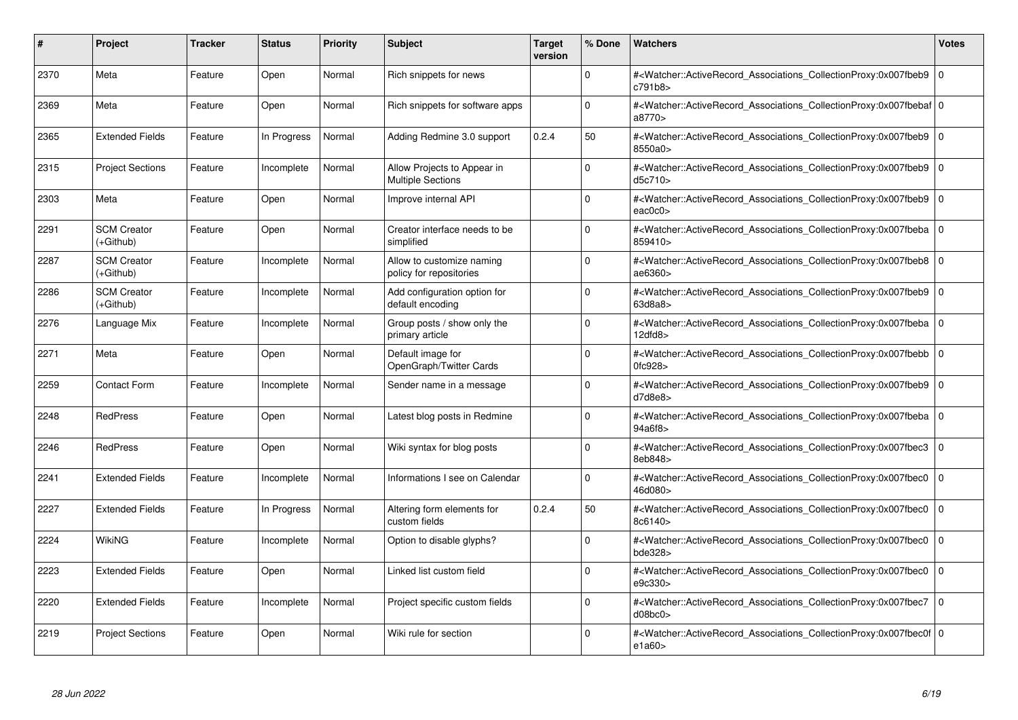| #    | Project                         | Tracker | <b>Status</b> | <b>Priority</b> | <b>Subject</b>                                          | <b>Target</b><br>version | % Done   | <b>Watchers</b>                                                                                                                                           | <b>Votes</b> |
|------|---------------------------------|---------|---------------|-----------------|---------------------------------------------------------|--------------------------|----------|-----------------------------------------------------------------------------------------------------------------------------------------------------------|--------------|
| 2370 | Meta                            | Feature | Open          | Normal          | Rich snippets for news                                  |                          | $\Omega$ | # <watcher::activerecord associations="" collectionproxy:0x007fbeb9<br="">c791b8&gt;</watcher::activerecord>                                              | $\mathbf{0}$ |
| 2369 | Meta                            | Feature | Open          | Normal          | Rich snippets for software apps                         |                          | $\Omega$ | # <watcher::activerecord 0<br="" associations="" collectionproxy:0x007fbebaf=""  ="">a8770&gt;</watcher::activerecord>                                    |              |
| 2365 | <b>Extended Fields</b>          | Feature | In Progress   | Normal          | Adding Redmine 3.0 support                              | 0.2.4                    | 50       | # <watcher::activerecord_associations_collectionproxy:0x007fbeb9<br>8550a0&gt;</watcher::activerecord_associations_collectionproxy:0x007fbeb9<br>         | $\Omega$     |
| 2315 | <b>Project Sections</b>         | Feature | Incomplete    | Normal          | Allow Projects to Appear in<br><b>Multiple Sections</b> |                          | $\Omega$ | # <watcher::activerecord_associations_collectionproxy:0x007fbeb9 0<br="">d5c710</watcher::activerecord_associations_collectionproxy:0x007fbeb9>           |              |
| 2303 | Meta                            | Feature | Open          | Normal          | Improve internal API                                    |                          | $\Omega$ | # <watcher::activerecord_associations_collectionproxy:0x007fbeb9<br>eac0c0</watcher::activerecord_associations_collectionproxy:0x007fbeb9<br>             | $\mathbf 0$  |
| 2291 | <b>SCM Creator</b><br>(+Github) | Feature | Open          | Normal          | Creator interface needs to be<br>simplified             |                          | $\Omega$ | # <watcher::activerecord_associations_collectionproxy:0x007fbeba 0<br=""  ="">859410&gt;</watcher::activerecord_associations_collectionproxy:0x007fbeba>  |              |
| 2287 | <b>SCM Creator</b><br>(+Github) | Feature | Incomplete    | Normal          | Allow to customize naming<br>policy for repositories    |                          | $\Omega$ | # <watcher::activerecord associations="" collectionproxy:0x007fbeb8<br="">ae6360&gt;</watcher::activerecord>                                              | $\mathbf 0$  |
| 2286 | <b>SCM Creator</b><br>(+Github) | Feature | Incomplete    | Normal          | Add configuration option for<br>default encoding        |                          | $\Omega$ | # <watcher::activerecord_associations_collectionproxy:0x007fbeb9  <br="">63d8a8&gt;</watcher::activerecord_associations_collectionproxy:0x007fbeb9>       | $\mathbf 0$  |
| 2276 | Language Mix                    | Feature | Incomplete    | Normal          | Group posts / show only the<br>primary article          |                          | $\Omega$ | # <watcher::activerecord_associations_collectionproxy:0x007fbeba 0<br=""  ="">12dfd8</watcher::activerecord_associations_collectionproxy:0x007fbeba>      |              |
| 2271 | Meta                            | Feature | Open          | Normal          | Default image for<br>OpenGraph/Twitter Cards            |                          | $\Omega$ | # <watcher::activerecord associations="" collectionproxy:0x007fbebb=""  <br="">0fc928</watcher::activerecord>                                             | $\mathbf{0}$ |
| 2259 | <b>Contact Form</b>             | Feature | Incomplete    | Normal          | Sender name in a message                                |                          | $\Omega$ | # <watcher::activerecord_associations_collectionproxy:0x007fbeb9 0<br=""  ="">d7d8e8</watcher::activerecord_associations_collectionproxy:0x007fbeb9>      |              |
| 2248 | <b>RedPress</b>                 | Feature | Open          | Normal          | Latest blog posts in Redmine                            |                          | $\Omega$ | # <watcher::activerecord 0<br="" associations="" collectionproxy:0x007fbeba=""  ="">94a6f8&gt;</watcher::activerecord>                                    |              |
| 2246 | <b>RedPress</b>                 | Feature | Open          | Normal          | Wiki syntax for blog posts                              |                          | $\Omega$ | # <watcher::activerecord associations="" collectionproxy:0x007fbec3<br="">8eb848&gt;</watcher::activerecord>                                              | $\mathbf 0$  |
| 2241 | <b>Extended Fields</b>          | Feature | Incomplete    | Normal          | Informations I see on Calendar                          |                          | $\Omega$ | # <watcher::activerecord_associations_collectionproxy:0x007fbec0<br>46d080&gt;</watcher::activerecord_associations_collectionproxy:0x007fbec0<br>         | $\Omega$     |
| 2227 | <b>Extended Fields</b>          | Feature | In Progress   | Normal          | Altering form elements for<br>custom fields             | 0.2.4                    | 50       | # <watcher::activerecord 0<br="" associations="" collectionproxy:0x007fbec0=""  ="">8c6140&gt;</watcher::activerecord>                                    |              |
| 2224 | WikiNG                          | Feature | Incomplete    | Normal          | Option to disable glyphs?                               |                          | $\Omega$ | # <watcher::activerecord_associations_collectionproxy:0x007fbec0<br>bde328&gt;</watcher::activerecord_associations_collectionproxy:0x007fbec0<br>         | $\mathbf 0$  |
| 2223 | <b>Extended Fields</b>          | Feature | Open          | Normal          | Linked list custom field                                |                          | $\Omega$ | # <watcher::activerecord_associations_collectionproxy:0x007fbec0  <br="">e9c330&gt;</watcher::activerecord_associations_collectionproxy:0x007fbec0>       | $\mathbf 0$  |
| 2220 | <b>Extended Fields</b>          | Feature | Incomplete    | Normal          | Project specific custom fields                          |                          | $\Omega$ | # <watcher::activerecord associations="" collectionproxy:0x007fbec7<br="">d08bc0</watcher::activerecord>                                                  | $\mathbf 0$  |
| 2219 | <b>Project Sections</b>         | Feature | Open          | Normal          | Wiki rule for section                                   |                          | $\Omega$ | # <watcher::activerecord_associations_collectionproxy:0x007fbec0f 0<br=""  ="">e1a60&gt;</watcher::activerecord_associations_collectionproxy:0x007fbec0f> |              |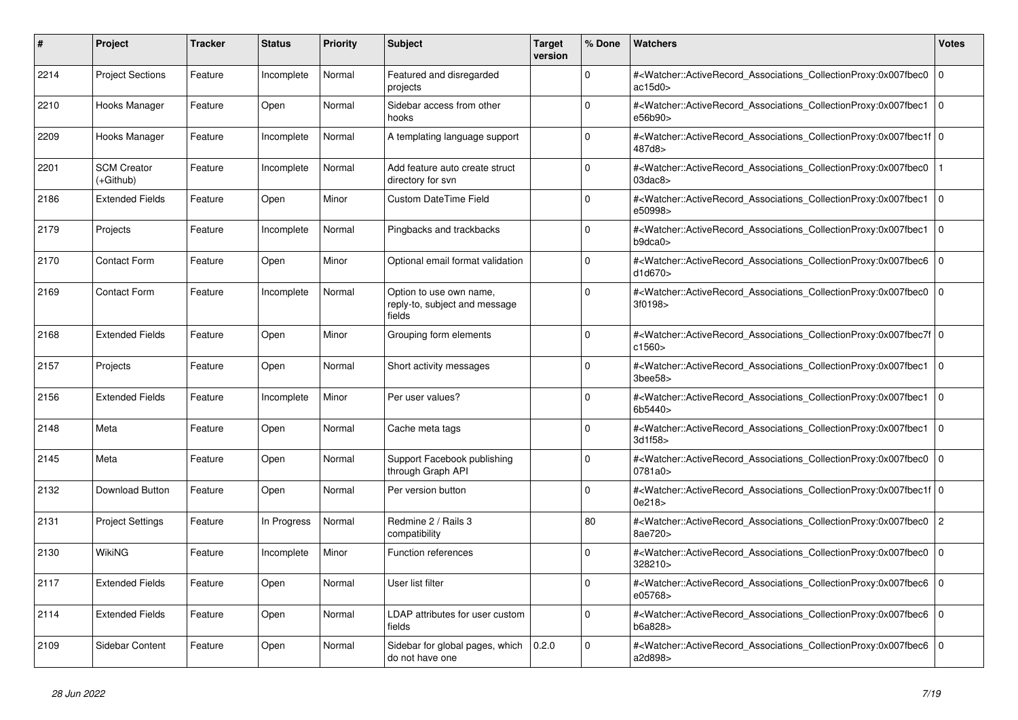| #    | <b>Project</b>                  | Tracker | <b>Status</b> | <b>Priority</b> | <b>Subject</b>                                                     | <b>Target</b><br>version | % Done      | <b>Watchers</b>                                                                                                                                                         | <b>Votes</b>   |
|------|---------------------------------|---------|---------------|-----------------|--------------------------------------------------------------------|--------------------------|-------------|-------------------------------------------------------------------------------------------------------------------------------------------------------------------------|----------------|
| 2214 | <b>Project Sections</b>         | Feature | Incomplete    | Normal          | Featured and disregarded<br>projects                               |                          | $\Omega$    | # <watcher::activerecord_associations_collectionproxy:0x007fbec0<br>ac15d0</watcher::activerecord_associations_collectionproxy:0x007fbec0<br>                           | $\mathbf 0$    |
| 2210 | Hooks Manager                   | Feature | Open          | Normal          | Sidebar access from other<br>hooks                                 |                          | $\Omega$    | # <watcher::activerecord_associations_collectionproxy:0x007fbec1<br>e56b90&gt;</watcher::activerecord_associations_collectionproxy:0x007fbec1<br>                       | $\overline{0}$ |
| 2209 | Hooks Manager                   | Feature | Incomplete    | Normal          | A templating language support                                      |                          | $\Omega$    | # <watcher::activerecord 0<br="" associations="" collectionproxy:0x007fbec1f=""  ="">487d8&gt;</watcher::activerecord>                                                  |                |
| 2201 | <b>SCM Creator</b><br>(+Github) | Feature | Incomplete    | Normal          | Add feature auto create struct<br>directory for svn                |                          | $\Omega$    | # <watcher::activerecord_associations_collectionproxy:0x007fbec0<br><math>03</math>dac<math>8</math></watcher::activerecord_associations_collectionproxy:0x007fbec0<br> |                |
| 2186 | <b>Extended Fields</b>          | Feature | Open          | Minor           | Custom DateTime Field                                              |                          | $\Omega$    | # <watcher::activerecord_associations_collectionproxy:0x007fbec1<br>e50998&gt;</watcher::activerecord_associations_collectionproxy:0x007fbec1<br>                       | $\overline{0}$ |
| 2179 | Projects                        | Feature | Incomplete    | Normal          | Pingbacks and trackbacks                                           |                          | $\Omega$    | # <watcher::activerecord associations="" collectionproxy:0x007fbec1<br="">b9dca0</watcher::activerecord>                                                                | $\overline{0}$ |
| 2170 | <b>Contact Form</b>             | Feature | Open          | Minor           | Optional email format validation                                   |                          | $\Omega$    | # <watcher::activerecord associations="" collectionproxy:0x007fbec6<br="">d1d670&gt;</watcher::activerecord>                                                            | $\mathbf 0$    |
| 2169 | <b>Contact Form</b>             | Feature | Incomplete    | Normal          | Option to use own name,<br>reply-to, subject and message<br>fields |                          | $\Omega$    | # <watcher::activerecord_associations_collectionproxy:0x007fbec0<br>3f0198&gt;</watcher::activerecord_associations_collectionproxy:0x007fbec0<br>                       | l o            |
| 2168 | <b>Extended Fields</b>          | Feature | Open          | Minor           | Grouping form elements                                             |                          | $\mathbf 0$ | # <watcher::activerecord_associations_collectionproxy:0x007fbec7f 0<br=""  ="">c1560&gt;</watcher::activerecord_associations_collectionproxy:0x007fbec7f>               |                |
| 2157 | Projects                        | Feature | Open          | Normal          | Short activity messages                                            |                          | $\Omega$    | # <watcher::activerecord_associations_collectionproxy:0x007fbec1<br>3bee58&gt;</watcher::activerecord_associations_collectionproxy:0x007fbec1<br>                       | $\overline{0}$ |
| 2156 | <b>Extended Fields</b>          | Feature | Incomplete    | Minor           | Per user values?                                                   |                          | $\Omega$    | # <watcher::activerecord associations="" collectionproxy:0x007fbec1<br="">6b5440&gt;</watcher::activerecord>                                                            | $\overline{0}$ |
| 2148 | Meta                            | Feature | Open          | Normal          | Cache meta tags                                                    |                          | $\mathbf 0$ | # <watcher::activerecord associations="" collectionproxy:0x007fbec1<br="">3d1f58&gt;</watcher::activerecord>                                                            | $\overline{0}$ |
| 2145 | Meta                            | Feature | Open          | Normal          | Support Facebook publishing<br>through Graph API                   |                          | $\Omega$    | # <watcher::activerecord_associations_collectionproxy:0x007fbec0<br>0781a0&gt;</watcher::activerecord_associations_collectionproxy:0x007fbec0<br>                       | $\Omega$       |
| 2132 | Download Button                 | Feature | Open          | Normal          | Per version button                                                 |                          | $\Omega$    | # <watcher::activerecord 0<br="" associations="" collectionproxy:0x007fbec1f=""  ="">0e218&gt;</watcher::activerecord>                                                  |                |
| 2131 | <b>Project Settings</b>         | Feature | In Progress   | Normal          | Redmine 2 / Rails 3<br>compatibility                               |                          | 80          | # <watcher::activerecord associations="" collectionproxy:0x007fbec0<br="">8ae720&gt;</watcher::activerecord>                                                            | $\overline{2}$ |
| 2130 | WikiNG                          | Feature | Incomplete    | Minor           | <b>Function references</b>                                         |                          | $\mathbf 0$ | # <watcher::activerecord_associations_collectionproxy:0x007fbec0<br>328210&gt;</watcher::activerecord_associations_collectionproxy:0x007fbec0<br>                       | $\Omega$       |
| 2117 | <b>Extended Fields</b>          | Feature | Open          | Normal          | User list filter                                                   |                          | $\Omega$    | # <watcher::activerecord 0<br="" associations="" collectionproxy:0x007fbec6=""  ="">e05768&gt;</watcher::activerecord>                                                  |                |
| 2114 | <b>Extended Fields</b>          | Feature | Open          | Normal          | LDAP attributes for user custom<br>fields                          |                          | $\mathbf 0$ | # <watcher::activerecord_associations_collectionproxy:0x007fbec6<br>b6a828&gt;</watcher::activerecord_associations_collectionproxy:0x007fbec6<br>                       | $\overline{0}$ |
| 2109 | Sidebar Content                 | Feature | Open          | Normal          | Sidebar for global pages, which<br>do not have one                 | 0.2.0                    | $\Omega$    | # <watcher::activerecord_associations_collectionproxy:0x007fbec6<br>a2d898&gt;</watcher::activerecord_associations_collectionproxy:0x007fbec6<br>                       | $\Omega$       |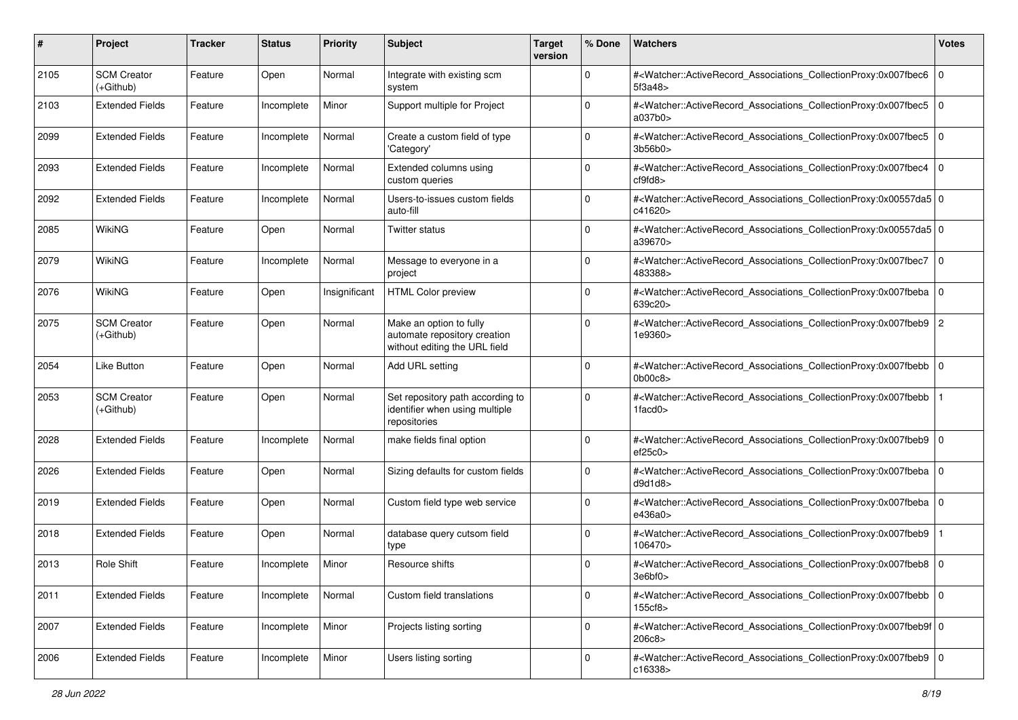| #    | Project                         | <b>Tracker</b> | <b>Status</b> | <b>Priority</b> | <b>Subject</b>                                                                           | <b>Target</b><br>version | % Done      | Watchers                                                                                                                                                                | <b>Votes</b> |
|------|---------------------------------|----------------|---------------|-----------------|------------------------------------------------------------------------------------------|--------------------------|-------------|-------------------------------------------------------------------------------------------------------------------------------------------------------------------------|--------------|
| 2105 | <b>SCM Creator</b><br>(+Github) | Feature        | Open          | Normal          | Integrate with existing scm<br>system                                                    |                          | 0           | # <watcher::activerecord_associations_collectionproxy:0x007fbec6<br>5f3a48&gt;</watcher::activerecord_associations_collectionproxy:0x007fbec6<br>                       | $\mathbf 0$  |
| 2103 | <b>Extended Fields</b>          | Feature        | Incomplete    | Minor           | Support multiple for Project                                                             |                          | 0           | # <watcher::activerecord_associations_collectionproxy:0x007fbec5<br>a037b0&gt;</watcher::activerecord_associations_collectionproxy:0x007fbec5<br>                       | $\mathbf 0$  |
| 2099 | Extended Fields                 | Feature        | Incomplete    | Normal          | Create a custom field of type<br>'Category'                                              |                          | 0           | # <watcher::activerecord_associations_collectionproxy:0x007fbec5<br>3b56b0&gt;</watcher::activerecord_associations_collectionproxy:0x007fbec5<br>                       | l O          |
| 2093 | <b>Extended Fields</b>          | Feature        | Incomplete    | Normal          | Extended columns using<br>custom queries                                                 |                          | $\Omega$    | # <watcher::activerecord associations="" collectionproxy:0x007fbec4<br="">cf9fd8</watcher::activerecord>                                                                | $\Omega$     |
| 2092 | <b>Extended Fields</b>          | Feature        | Incomplete    | Normal          | Users-to-issues custom fields<br>auto-fill                                               |                          | 0           | # <watcher::activerecord_associations_collectionproxy:0x00557da5 0<br=""  ="">c41620&gt;</watcher::activerecord_associations_collectionproxy:0x00557da5>                |              |
| 2085 | WikiNG                          | Feature        | Open          | Normal          | Twitter status                                                                           |                          | 0           | # <watcher::activerecord_associations_collectionproxy:0x00557da5 0<br="">a39670&gt;</watcher::activerecord_associations_collectionproxy:0x00557da5>                     |              |
| 2079 | WikiNG                          | Feature        | Incomplete    | Normal          | Message to everyone in a<br>project                                                      |                          | $\mathbf 0$ | # <watcher::activerecord_associations_collectionproxy:0x007fbec7<br>483388&gt;</watcher::activerecord_associations_collectionproxy:0x007fbec7<br>                       | l O          |
| 2076 | <b>WikiNG</b>                   | Feature        | Open          | Insignificant   | <b>HTML Color preview</b>                                                                |                          | 0           | # <watcher::activerecord_associations_collectionproxy:0x007fbeba<br>639c20&gt;</watcher::activerecord_associations_collectionproxy:0x007fbeba<br>                       | l O          |
| 2075 | <b>SCM Creator</b><br>(+Github) | Feature        | Open          | Normal          | Make an option to fully<br>automate repository creation<br>without editing the URL field |                          | $\Omega$    | # <watcher::activerecord_associations_collectionproxy:0x007fbeb9 2<br="">1e9360&gt;</watcher::activerecord_associations_collectionproxy:0x007fbeb9>                     |              |
| 2054 | Like Button                     | Feature        | Open          | Normal          | Add URL setting                                                                          |                          | $\mathbf 0$ | # <watcher::activerecord_associations_collectionproxy:0x007fbebb 0<br=""  ="">0b00c8</watcher::activerecord_associations_collectionproxy:0x007fbebb>                    |              |
| 2053 | <b>SCM Creator</b><br>(+Github) | Feature        | Open          | Normal          | Set repository path according to<br>identifier when using multiple<br>repositories       |                          | 0           | # <watcher::activerecord_associations_collectionproxy:0x007fbebb<br><math>1</math>facd<math>0</math></watcher::activerecord_associations_collectionproxy:0x007fbebb<br> |              |
| 2028 | <b>Extended Fields</b>          | Feature        | Incomplete    | Normal          | make fields final option                                                                 |                          | 0           | # <watcher::activerecord_associations_collectionproxy:0x007fbeb9<br>ef25c0</watcher::activerecord_associations_collectionproxy:0x007fbeb9<br>                           | l O          |
| 2026 | <b>Extended Fields</b>          | Feature        | Open          | Normal          | Sizing defaults for custom fields                                                        |                          | $\Omega$    | # <watcher::activerecord_associations_collectionproxy:0x007fbeba<br>d9d1d8</watcher::activerecord_associations_collectionproxy:0x007fbeba<br>                           | $\mathbf 0$  |
| 2019 | <b>Extended Fields</b>          | Feature        | Open          | Normal          | Custom field type web service                                                            |                          | $\mathbf 0$ | # <watcher::activerecord_associations_collectionproxy:0x007fbeba  <br="">e436a0&gt;</watcher::activerecord_associations_collectionproxy:0x007fbeba>                     | l O          |
| 2018 | <b>Extended Fields</b>          | Feature        | Open          | Normal          | database query cutsom field<br>type                                                      |                          | $\Omega$    | # <watcher::activerecord_associations_collectionproxy:0x007fbeb9<br>106470&gt;</watcher::activerecord_associations_collectionproxy:0x007fbeb9<br>                       |              |
| 2013 | Role Shift                      | Feature        | Incomplete    | Minor           | Resource shifts                                                                          |                          | 0           | # <watcher::activerecord_associations_collectionproxy:0x007fbeb8 0<br="">3e6bf0&gt;</watcher::activerecord_associations_collectionproxy:0x007fbeb8>                     |              |
| 2011 | <b>Extended Fields</b>          | Feature        | Incomplete    | Normal          | Custom field translations                                                                |                          | 0           | # <watcher::activerecord 0<br="" associations="" collectionproxy:0x007fbebb="">155cf8&gt;</watcher::activerecord>                                                       |              |
| 2007 | <b>Extended Fields</b>          | Feature        | Incomplete    | Minor           | Projects listing sorting                                                                 |                          | $\mathbf 0$ | # <watcher::activerecord_associations_collectionproxy:0x007fbeb9f 0<br="">206c8</watcher::activerecord_associations_collectionproxy:0x007fbeb9f>                        |              |
| 2006 | <b>Extended Fields</b>          | Feature        | Incomplete    | Minor           | Users listing sorting                                                                    |                          | $\mathbf 0$ | # <watcher::activerecord_associations_collectionproxy:0x007fbeb9 0<br=""  ="">c16338&gt;</watcher::activerecord_associations_collectionproxy:0x007fbeb9>                |              |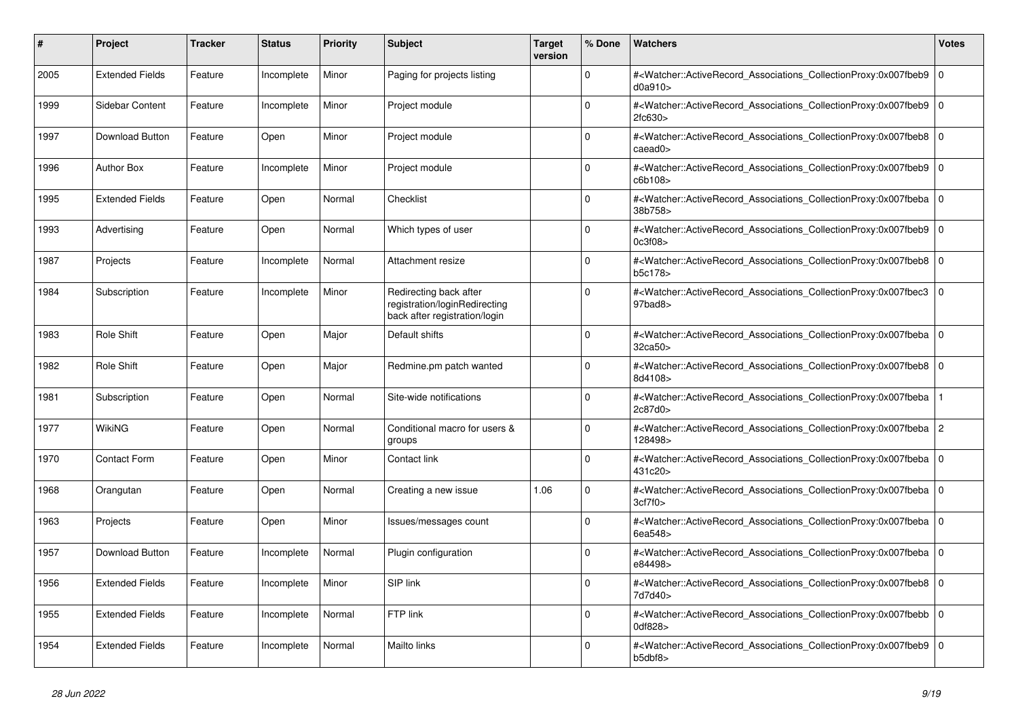| #    | <b>Project</b>         | Tracker | <b>Status</b> | <b>Priority</b> | <b>Subject</b>                                                                           | <b>Target</b><br>version | % Done   | <b>Watchers</b>                                                                                                                                          | <b>Votes</b>   |
|------|------------------------|---------|---------------|-----------------|------------------------------------------------------------------------------------------|--------------------------|----------|----------------------------------------------------------------------------------------------------------------------------------------------------------|----------------|
| 2005 | <b>Extended Fields</b> | Feature | Incomplete    | Minor           | Paging for projects listing                                                              |                          | $\Omega$ | # <watcher::activerecord_associations_collectionproxy:0x007fbeb9<br>d0a910</watcher::activerecord_associations_collectionproxy:0x007fbeb9<br>            | $\mathbf 0$    |
| 1999 | Sidebar Content        | Feature | Incomplete    | Minor           | Project module                                                                           |                          | $\Omega$ | # <watcher::activerecord_associations_collectionproxy:0x007fbeb9<br>2fc630&gt;</watcher::activerecord_associations_collectionproxy:0x007fbeb9<br>        | $\mathbf 0$    |
| 1997 | Download Button        | Feature | Open          | Minor           | Project module                                                                           |                          | $\Omega$ | # <watcher::activerecord_associations_collectionproxy:0x007fbeb8 0<br=""  ="">caeadO</watcher::activerecord_associations_collectionproxy:0x007fbeb8>     |                |
| 1996 | <b>Author Box</b>      | Feature | Incomplete    | Minor           | Project module                                                                           |                          | $\Omega$ | # <watcher::activerecord_associations_collectionproxy:0x007fbeb9<br>c6b108&gt;</watcher::activerecord_associations_collectionproxy:0x007fbeb9<br>        | $\mathbf 0$    |
| 1995 | <b>Extended Fields</b> | Feature | Open          | Normal          | Checklist                                                                                |                          | $\Omega$ | # <watcher::activerecord_associations_collectionproxy:0x007fbeba  <br="">38b758&gt;</watcher::activerecord_associations_collectionproxy:0x007fbeba>      | $\mathbf 0$    |
| 1993 | Advertising            | Feature | Open          | Normal          | Which types of user                                                                      |                          | $\Omega$ | # <watcher::activerecord_associations_collectionproxy:0x007fbeb9 0<br=""  ="">0c3f08&gt;</watcher::activerecord_associations_collectionproxy:0x007fbeb9> |                |
| 1987 | Projects               | Feature | Incomplete    | Normal          | Attachment resize                                                                        |                          | $\Omega$ | # <watcher::activerecord associations="" collectionproxy:0x007fbeb8<br="">b5c178&gt;</watcher::activerecord>                                             | $\mathbf 0$    |
| 1984 | Subscription           | Feature | Incomplete    | Minor           | Redirecting back after<br>registration/loginRedirecting<br>back after registration/login |                          | $\Omega$ | # <watcher::activerecord_associations_collectionproxy:0x007fbec3 0<br=""  ="">97bad8&gt;</watcher::activerecord_associations_collectionproxy:0x007fbec3> |                |
| 1983 | <b>Role Shift</b>      | Feature | Open          | Major           | Default shifts                                                                           |                          | $\Omega$ | # <watcher::activerecord_associations_collectionproxy:0x007fbeba 0<br=""  ="">32ca50&gt;</watcher::activerecord_associations_collectionproxy:0x007fbeba> |                |
| 1982 | <b>Role Shift</b>      | Feature | Open          | Major           | Redmine.pm patch wanted                                                                  |                          | $\Omega$ | # <watcher::activerecord_associations_collectionproxy:0x007fbeb8<br>8d4108&gt;</watcher::activerecord_associations_collectionproxy:0x007fbeb8<br>        | $\Omega$       |
| 1981 | Subscription           | Feature | Open          | Normal          | Site-wide notifications                                                                  |                          | $\Omega$ | # <watcher::activerecord associations="" collectionproxy:0x007fbeba<br="">2c87d0&gt;</watcher::activerecord>                                             |                |
| 1977 | <b>WikiNG</b>          | Feature | Open          | Normal          | Conditional macro for users &<br>groups                                                  |                          | $\Omega$ | # <watcher::activerecord associations="" collectionproxy:0x007fbeba<br="">128498&gt;</watcher::activerecord>                                             | $\overline{c}$ |
| 1970 | <b>Contact Form</b>    | Feature | Open          | Minor           | Contact link                                                                             |                          | $\Omega$ | # <watcher::activerecord_associations_collectionproxy:0x007fbeba  <br="">431c20&gt;</watcher::activerecord_associations_collectionproxy:0x007fbeba>      | $\mathbf 0$    |
| 1968 | Orangutan              | Feature | Open          | Normal          | Creating a new issue                                                                     | 1.06                     | $\Omega$ | # <watcher::activerecord_associations_collectionproxy:0x007fbeba 0<br=""  ="">3cf7f0</watcher::activerecord_associations_collectionproxy:0x007fbeba>     |                |
| 1963 | Projects               | Feature | Open          | Minor           | Issues/messages count                                                                    |                          | $\Omega$ | # <watcher::activerecord_associations_collectionproxy:0x007fbeba 0<br=""  ="">6ea548&gt;</watcher::activerecord_associations_collectionproxy:0x007fbeba> |                |
| 1957 | Download Button        | Feature | Incomplete    | Normal          | Plugin configuration                                                                     |                          | $\Omega$ | # <watcher::activerecord_associations_collectionproxy:0x007fbeba  <br="">e84498&gt;</watcher::activerecord_associations_collectionproxy:0x007fbeba>      | $\mathbf 0$    |
| 1956 | <b>Extended Fields</b> | Feature | Incomplete    | Minor           | SIP link                                                                                 |                          | $\Omega$ | # <watcher::activerecord_associations_collectionproxy:0x007fbeb8 0<br=""  ="">7d7d40&gt;</watcher::activerecord_associations_collectionproxy:0x007fbeb8> |                |
| 1955 | <b>Extended Fields</b> | Feature | Incomplete    | Normal          | FTP link                                                                                 |                          | $\Omega$ | # <watcher::activerecord associations="" collectionproxy:0x007fbebb<br="">0df828&gt;</watcher::activerecord>                                             | $\mathbf 0$    |
| 1954 | <b>Extended Fields</b> | Feature | Incomplete    | Normal          | Mailto links                                                                             |                          | $\Omega$ | # <watcher::activerecord_associations_collectionproxy:0x007fbeb9<br>b5dbf8&gt;</watcher::activerecord_associations_collectionproxy:0x007fbeb9<br>        | $\mathbf 0$    |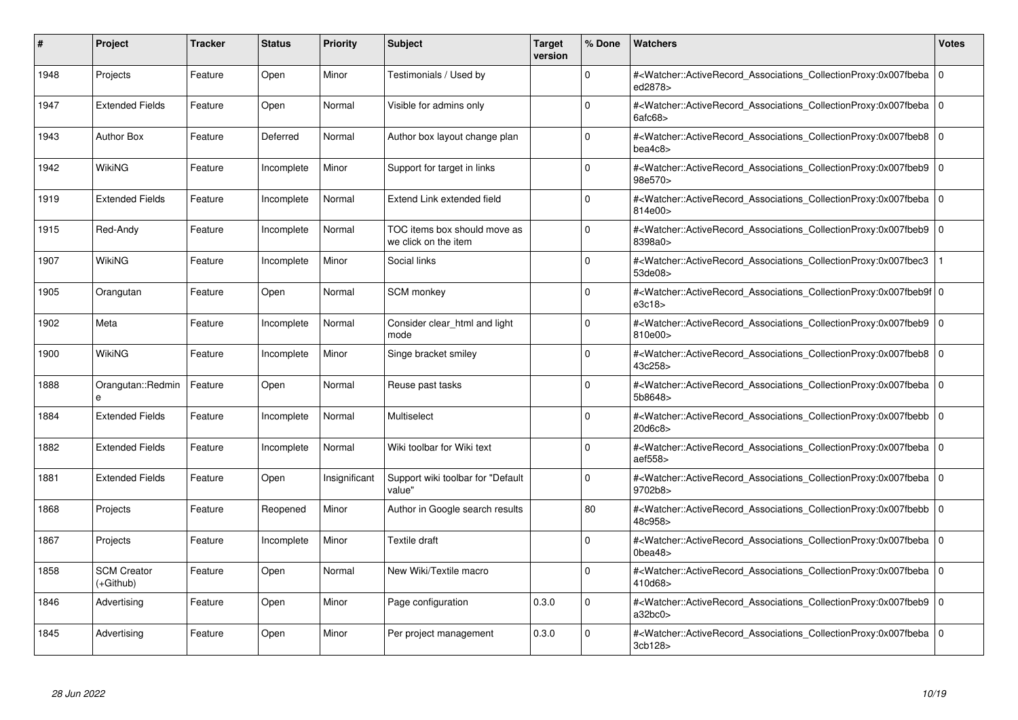| #    | Project                         | <b>Tracker</b> | <b>Status</b> | <b>Priority</b> | <b>Subject</b>                                       | <b>Target</b><br>version | % Done      | <b>Watchers</b>                                                                                                                                                               | <b>Votes</b> |
|------|---------------------------------|----------------|---------------|-----------------|------------------------------------------------------|--------------------------|-------------|-------------------------------------------------------------------------------------------------------------------------------------------------------------------------------|--------------|
| 1948 | Projects                        | Feature        | Open          | Minor           | Testimonials / Used by                               |                          | $\Omega$    | # <watcher::activerecord associations="" collectionproxy:0x007fbeba<br="">ed2878&gt;</watcher::activerecord>                                                                  | $\mathbf 0$  |
| 1947 | <b>Extended Fields</b>          | Feature        | Open          | Normal          | Visible for admins only                              |                          | $\Omega$    | # <watcher::activerecord 0<br="" associations="" collectionproxy:0x007fbeba=""  ="">6afc68</watcher::activerecord>                                                            |              |
| 1943 | <b>Author Box</b>               | Feature        | Deferred      | Normal          | Author box layout change plan                        |                          | $\Omega$    | # <watcher::activerecord_associations_collectionproxy:0x007fbeb8 0<br=""  ="">bea4c8</watcher::activerecord_associations_collectionproxy:0x007fbeb8>                          |              |
| 1942 | <b>WikiNG</b>                   | Feature        | Incomplete    | Minor           | Support for target in links                          |                          | $\Omega$    | # <watcher::activerecord_associations_collectionproxy:0x007fbeb9  <br="">98e570&gt;</watcher::activerecord_associations_collectionproxy:0x007fbeb9>                           | $\mathbf 0$  |
| 1919 | <b>Extended Fields</b>          | Feature        | Incomplete    | Normal          | Extend Link extended field                           |                          | $\Omega$    | # <watcher::activerecord 0<br="" associations="" collectionproxy:0x007fbeba=""  ="">814e00&gt;</watcher::activerecord>                                                        |              |
| 1915 | Red-Andy                        | Feature        | Incomplete    | Normal          | TOC items box should move as<br>we click on the item |                          | $\Omega$    | # <watcher::activerecord_associations_collectionproxy:0x007fbeb9<br>8398a0&gt;</watcher::activerecord_associations_collectionproxy:0x007fbeb9<br>                             | $\Omega$     |
| 1907 | <b>WikiNG</b>                   | Feature        | Incomplete    | Minor           | Social links                                         |                          | $\Omega$    | # <watcher::activerecord associations="" collectionproxy:0x007fbec3<br="">53de08&gt;</watcher::activerecord>                                                                  |              |
| 1905 | Orangutan                       | Feature        | Open          | Normal          | <b>SCM</b> monkey                                    |                          | $\Omega$    | # <watcher::activerecord 0<br="" associations="" collectionproxy:0x007fbeb9f=""  ="">e3c18</watcher::activerecord>                                                            |              |
| 1902 | Meta                            | Feature        | Incomplete    | Normal          | Consider clear html and light<br>mode                |                          | $\Omega$    | # <watcher::activerecord associations="" collectionproxy:0x007fbeb9<br="">810e00&gt;</watcher::activerecord>                                                                  | $\mathbf 0$  |
| 1900 | <b>WikiNG</b>                   | Feature        | Incomplete    | Minor           | Singe bracket smiley                                 |                          | $\Omega$    | # <watcher::activerecord_associations_collectionproxy:0x007fbeb8  <br="">43c258&gt;</watcher::activerecord_associations_collectionproxy:0x007fbeb8>                           | $\Omega$     |
| 1888 | Orangutan::Redmin<br>e          | Feature        | Open          | Normal          | Reuse past tasks                                     |                          | $\Omega$    | # <watcher::activerecord 0<br="" associations="" collectionproxy:0x007fbeba=""  ="">5b8648&gt;</watcher::activerecord>                                                        |              |
| 1884 | <b>Extended Fields</b>          | Feature        | Incomplete    | Normal          | Multiselect                                          |                          | $\Omega$    | # <watcher::activerecord associations="" collectionproxy:0x007fbebb=""  <br="">20d6c8&gt;</watcher::activerecord>                                                             | $\mathbf 0$  |
| 1882 | <b>Extended Fields</b>          | Feature        | Incomplete    | Normal          | Wiki toolbar for Wiki text                           |                          | $\Omega$    | # <watcher::activerecord_associations_collectionproxy:0x007fbeba 0<br=""  ="">aef558&gt;</watcher::activerecord_associations_collectionproxy:0x007fbeba>                      |              |
| 1881 | <b>Extended Fields</b>          | Feature        | Open          | Insignificant   | Support wiki toolbar for "Default<br>value"          |                          | $\mathbf 0$ | # <watcher::activerecord associations="" collectionproxy:0x007fbeba<br="">9702b8&gt;</watcher::activerecord>                                                                  | $\mathbf 0$  |
| 1868 | Projects                        | Feature        | Reopened      | Minor           | Author in Google search results                      |                          | 80          | # <watcher::activerecord 0<br="" associations="" collectionproxy:0x007fbebb=""  ="">48c958&gt;</watcher::activerecord>                                                        |              |
| 1867 | Projects                        | Feature        | Incomplete    | Minor           | <b>Textile draft</b>                                 |                          | $\Omega$    | # <watcher::activerecord_associations_collectionproxy:0x007fbeba  <br=""><math>0</math>bea48<math>&gt;</math></watcher::activerecord_associations_collectionproxy:0x007fbeba> | $\mathbf 0$  |
| 1858 | <b>SCM Creator</b><br>(+Github) | Feature        | Open          | Normal          | New Wiki/Textile macro                               |                          | $\Omega$    | # <watcher::activerecord 0<br="" associations="" collectionproxy:0x007fbeba=""  ="">410d68&gt;</watcher::activerecord>                                                        |              |
| 1846 | Advertising                     | Feature        | Open          | Minor           | Page configuration                                   | 0.3.0                    | $\mathbf 0$ | # <watcher::activerecord_associations_collectionproxy:0x007fbeb9<br>a32bc0</watcher::activerecord_associations_collectionproxy:0x007fbeb9<br>                                 | $\mathbf 0$  |
| 1845 | Advertising                     | Feature        | Open          | Minor           | Per project management                               | 0.3.0                    | $\Omega$    | # <watcher::activerecord_associations_collectionproxy:0x007fbeba 0<br=""  ="">3cb128&gt;</watcher::activerecord_associations_collectionproxy:0x007fbeba>                      |              |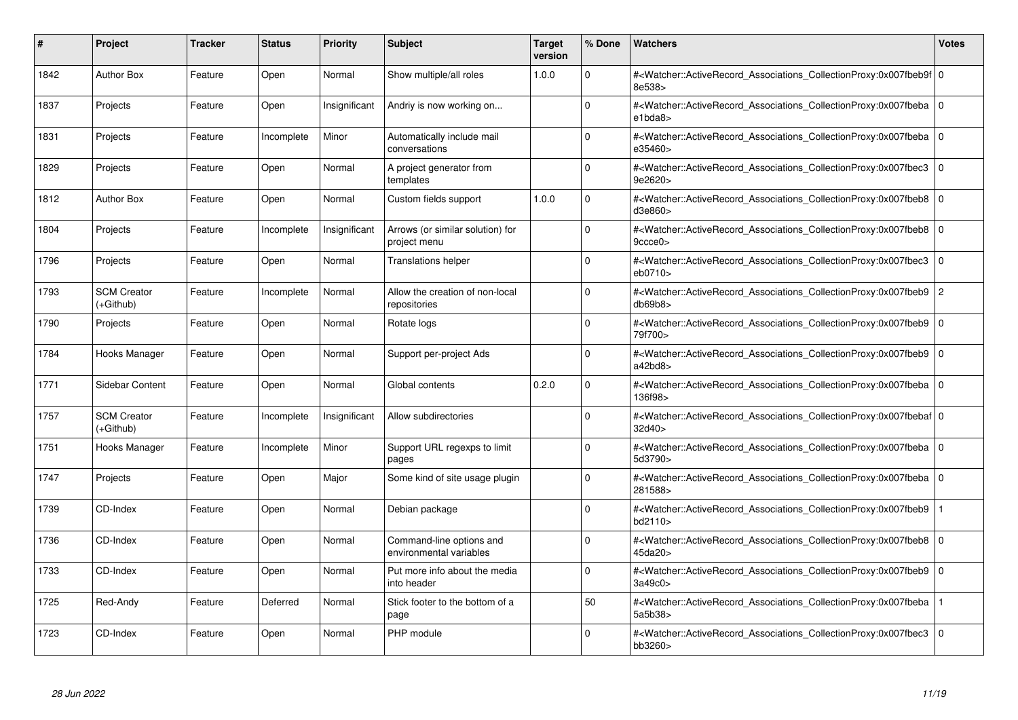| #    | Project                           | <b>Tracker</b> | <b>Status</b> | <b>Priority</b> | <b>Subject</b>                                      | <b>Target</b><br>version | % Done   | <b>Watchers</b>                                                                                                                                          | <b>Votes</b>   |
|------|-----------------------------------|----------------|---------------|-----------------|-----------------------------------------------------|--------------------------|----------|----------------------------------------------------------------------------------------------------------------------------------------------------------|----------------|
| 1842 | <b>Author Box</b>                 | Feature        | Open          | Normal          | Show multiple/all roles                             | 1.0.0                    | $\Omega$ | # <watcher::activerecord 0<br="" associations="" collectionproxy:0x007fbeb9f=""  ="">8e538&gt;</watcher::activerecord>                                   |                |
| 1837 | Projects                          | Feature        | Open          | Insignificant   | Andriy is now working on                            |                          | $\Omega$ | # <watcher::activerecord 0<br="" associations="" collectionproxy:0x007fbeba=""  ="">e1bda8&gt;</watcher::activerecord>                                   |                |
| 1831 | Projects                          | Feature        | Incomplete    | Minor           | Automatically include mail<br>conversations         |                          | $\Omega$ | # <watcher::activerecord_associations_collectionproxy:0x007fbeba 0<br="">e35460&gt;</watcher::activerecord_associations_collectionproxy:0x007fbeba>      |                |
| 1829 | Projects                          | Feature        | Open          | Normal          | A project generator from<br>templates               |                          | $\Omega$ | # <watcher::activerecord associations="" collectionproxy:0x007fbec3=""  <br="">9e2620&gt;</watcher::activerecord>                                        | $\mathbf 0$    |
| 1812 | <b>Author Box</b>                 | Feature        | Open          | Normal          | Custom fields support                               | 1.0.0                    | $\Omega$ | # <watcher::activerecord_associations_collectionproxy:0x007fbeb8 0<br=""  ="">d3e860&gt;</watcher::activerecord_associations_collectionproxy:0x007fbeb8> |                |
| 1804 | Projects                          | Feature        | Incomplete    | Insignificant   | Arrows (or similar solution) for<br>project menu    |                          | $\Omega$ | # <watcher::activerecord_associations_collectionproxy:0x007fbeb8  <br="">9ccce0</watcher::activerecord_associations_collectionproxy:0x007fbeb8>          | $\Omega$       |
| 1796 | Projects                          | Feature        | Open          | Normal          | <b>Translations helper</b>                          |                          | $\Omega$ | # <watcher::activerecord associations="" collectionproxy:0x007fbec3<br="">eb0710&gt;</watcher::activerecord>                                             | $\mathbf 0$    |
| 1793 | <b>SCM Creator</b><br>(+Github)   | Feature        | Incomplete    | Normal          | Allow the creation of non-local<br>repositories     |                          | $\Omega$ | # <watcher::activerecord_associations_collectionproxy:0x007fbeb9  <br="">db69b8</watcher::activerecord_associations_collectionproxy:0x007fbeb9>          | $\overline{c}$ |
| 1790 | Projects                          | Feature        | Open          | Normal          | Rotate logs                                         |                          | $\Omega$ | # <watcher::activerecord associations="" collectionproxy:0x007fbeb9=""  <br="">79f700&gt;</watcher::activerecord>                                        | $\mathbf 0$    |
| 1784 | Hooks Manager                     | Feature        | Open          | Normal          | Support per-project Ads                             |                          | $\Omega$ | # <watcher::activerecord associations="" collectionproxy:0x007fbeb9=""  <br="">a42bd8</watcher::activerecord>                                            | $\mathbf 0$    |
| 1771 | Sidebar Content                   | Feature        | Open          | Normal          | Global contents                                     | 0.2.0                    | $\Omega$ | # <watcher::activerecord_associations_collectionproxy:0x007fbeba 0<br=""  ="">136f98&gt;</watcher::activerecord_associations_collectionproxy:0x007fbeba> |                |
| 1757 | <b>SCM Creator</b><br>$(+Github)$ | Feature        | Incomplete    | Insignificant   | Allow subdirectories                                |                          | $\Omega$ | # <watcher::activerecord 0<br="" associations="" collectionproxy:0x007fbebaf=""  ="">32d40&gt;</watcher::activerecord>                                   |                |
| 1751 | Hooks Manager                     | Feature        | Incomplete    | Minor           | Support URL regexps to limit<br>pages               |                          | $\Omega$ | # <watcher::activerecord_associations_collectionproxy:0x007fbeba 0<br=""  ="">5d3790&gt;</watcher::activerecord_associations_collectionproxy:0x007fbeba> |                |
| 1747 | Projects                          | Feature        | Open          | Major           | Some kind of site usage plugin                      |                          | $\Omega$ | # <watcher::activerecord_associations_collectionproxy:0x007fbeba<br>281588&gt;</watcher::activerecord_associations_collectionproxy:0x007fbeba<br>        | $\Omega$       |
| 1739 | CD-Index                          | Feature        | Open          | Normal          | Debian package                                      |                          | $\Omega$ | # <watcher::activerecord associations="" collectionproxy:0x007fbeb9<br="">bd2110&gt;</watcher::activerecord>                                             |                |
| 1736 | CD-Index                          | Feature        | Open          | Normal          | Command-line options and<br>environmental variables |                          | $\Omega$ | # <watcher::activerecord_associations_collectionproxy:0x007fbeb8<br>45da20&gt;</watcher::activerecord_associations_collectionproxy:0x007fbeb8<br>        | $\mathbf 0$    |
| 1733 | CD-Index                          | Feature        | Open          | Normal          | Put more info about the media<br>into header        |                          | $\Omega$ | # <watcher::activerecord associations="" collectionproxy:0x007fbeb9<br="">3a49c0&gt;</watcher::activerecord>                                             | $\mathbf 0$    |
| 1725 | Red-Andy                          | Feature        | Deferred      | Normal          | Stick footer to the bottom of a<br>page             |                          | 50       | # <watcher::activerecord associations="" collectionproxy:0x007fbeba<br="">5a5b38&gt;</watcher::activerecord>                                             |                |
| 1723 | CD-Index                          | Feature        | Open          | Normal          | PHP module                                          |                          | $\Omega$ | # <watcher::activerecord associations="" collectionproxy:0x007fbec3=""  <br="">bb3260&gt;</watcher::activerecord>                                        | $\mathbf 0$    |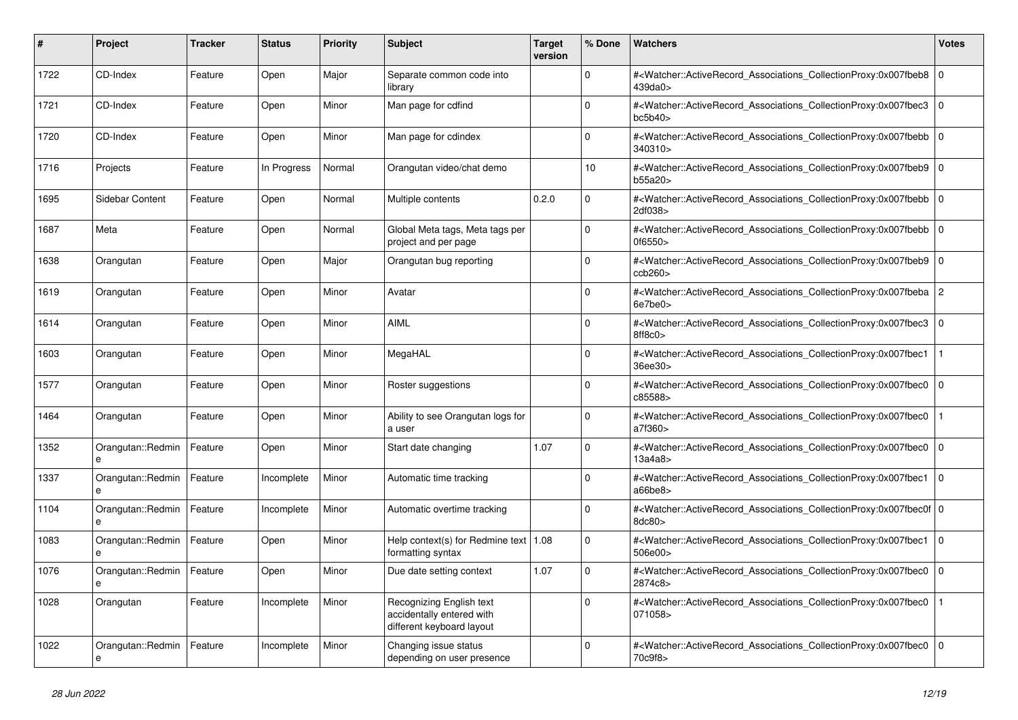| #    | <b>Project</b>         | <b>Tracker</b> | <b>Status</b> | <b>Priority</b> | <b>Subject</b>                                                                     | <b>Target</b><br>version | % Done      | <b>Watchers</b>                                                                                                                                          | <b>Votes</b> |
|------|------------------------|----------------|---------------|-----------------|------------------------------------------------------------------------------------|--------------------------|-------------|----------------------------------------------------------------------------------------------------------------------------------------------------------|--------------|
| 1722 | CD-Index               | Feature        | Open          | Major           | Separate common code into<br>library                                               |                          | $\Omega$    | # <watcher::activerecord associations="" collectionproxy:0x007fbeb8=""  <br="">439da0&gt;</watcher::activerecord>                                        | $\mathbf 0$  |
| 1721 | CD-Index               | Feature        | Open          | Minor           | Man page for cdfind                                                                |                          | $\Omega$    | # <watcher::activerecord_associations_collectionproxy:0x007fbec3<br>bc5b40</watcher::activerecord_associations_collectionproxy:0x007fbec3<br>            | $\mathbf 0$  |
| 1720 | CD-Index               | Feature        | Open          | Minor           | Man page for cdindex                                                               |                          | $\Omega$    | # <watcher::activerecord associations="" collectionproxy:0x007fbebb=""  <br="">340310&gt;</watcher::activerecord>                                        | $\mathbf 0$  |
| 1716 | Projects               | Feature        | In Progress   | Normal          | Orangutan video/chat demo                                                          |                          | 10          | # <watcher::activerecord associations="" collectionproxy:0x007fbeb9<br="">b55a20&gt;</watcher::activerecord>                                             | $\mathbf 0$  |
| 1695 | Sidebar Content        | Feature        | Open          | Normal          | Multiple contents                                                                  | 0.2.0                    | $\mathbf 0$ | # <watcher::activerecord_associations_collectionproxy:0x007fbebb<br>2df038&gt;</watcher::activerecord_associations_collectionproxy:0x007fbebb<br>        | $\mathbf 0$  |
| 1687 | Meta                   | Feature        | Open          | Normal          | Global Meta tags, Meta tags per<br>project and per page                            |                          | $\mathbf 0$ | # <watcher::activerecord_associations_collectionproxy:0x007fbebb 0<br=""  ="">0f6550</watcher::activerecord_associations_collectionproxy:0x007fbebb>     |              |
| 1638 | Orangutan              | Feature        | Open          | Major           | Orangutan bug reporting                                                            |                          | $\Omega$    | # <watcher::activerecord_associations_collectionproxy:0x007fbeb9<br>ccb260</watcher::activerecord_associations_collectionproxy:0x007fbeb9<br>            | $\mathbf 0$  |
| 1619 | Orangutan              | Feature        | Open          | Minor           | Avatar                                                                             |                          | $\mathbf 0$ | # <watcher::activerecord_associations_collectionproxy:0x007fbeba 2<br="">6e7be0&gt;</watcher::activerecord_associations_collectionproxy:0x007fbeba>      |              |
| 1614 | Orangutan              | Feature        | Open          | Minor           | <b>AIML</b>                                                                        |                          | $\Omega$    | # <watcher::activerecord_associations_collectionproxy:0x007fbec3 0<br=""  ="">8ff8c0&gt;</watcher::activerecord_associations_collectionproxy:0x007fbec3> |              |
| 1603 | Orangutan              | Feature        | Open          | Minor           | MegaHAL                                                                            |                          | $\Omega$    | # <watcher::activerecord associations="" collectionproxy:0x007fbec1<br="">36ee30&gt;</watcher::activerecord>                                             |              |
| 1577 | Orangutan              | Feature        | Open          | Minor           | Roster suggestions                                                                 |                          | $\mathbf 0$ | # <watcher::activerecord_associations_collectionproxy:0x007fbec0<br>c85588&gt;</watcher::activerecord_associations_collectionproxy:0x007fbec0<br>        | $\mathbf 0$  |
| 1464 | Orangutan              | Feature        | Open          | Minor           | Ability to see Orangutan logs for<br>a user                                        |                          | $\Omega$    | # <watcher::activerecord_associations_collectionproxy:0x007fbec0<br>a7f360&gt;</watcher::activerecord_associations_collectionproxy:0x007fbec0<br>        |              |
| 1352 | Orangutan::Redmin<br>e | Feature        | Open          | Minor           | Start date changing                                                                | 1.07                     | $\Omega$    | # <watcher::activerecord associations="" collectionproxy:0x007fbec0<br="">13a4a8</watcher::activerecord>                                                 | $\mathbf 0$  |
| 1337 | Orangutan::Redmin<br>e | Feature        | Incomplete    | Minor           | Automatic time tracking                                                            |                          | $\Omega$    | # <watcher::activerecord associations="" collectionproxy:0x007fbec1=""  <br="">a66be8&gt;</watcher::activerecord>                                        | $\Omega$     |
| 1104 | Orangutan::Redmin<br>e | Feature        | Incomplete    | Minor           | Automatic overtime tracking                                                        |                          | $\Omega$    | # <watcher::activerecord 0<br="" associations="" collectionproxy:0x007fbec0f=""  ="">8dc80&gt;</watcher::activerecord>                                   |              |
| 1083 | Orangutan::Redmin<br>e | Feature        | Open          | Minor           | Help context(s) for Redmine text   $1.08$<br>formatting syntax                     |                          | $\Omega$    | # <watcher::activerecord associations="" collectionproxy:0x007fbec1<br="">506e00&gt;</watcher::activerecord>                                             | $\mathbf 0$  |
| 1076 | Orangutan::Redmin<br>e | Feature        | Open          | Minor           | Due date setting context                                                           | 1.07                     | $\Omega$    | # <watcher::activerecord_associations_collectionproxy:0x007fbec0  <br="">2874c8&gt;</watcher::activerecord_associations_collectionproxy:0x007fbec0>      | $\Omega$     |
| 1028 | Orangutan              | Feature        | Incomplete    | Minor           | Recognizing English text<br>accidentally entered with<br>different keyboard layout |                          | $\Omega$    | # <watcher::activerecord associations="" collectionproxy:0x007fbec0<br="">071058&gt;</watcher::activerecord>                                             |              |
| 1022 | Orangutan::Redmin<br>e | Feature        | Incomplete    | Minor           | Changing issue status<br>depending on user presence                                |                          | $\Omega$    | # <watcher::activerecord_associations_collectionproxy:0x007fbec0<br>70c9f8&gt;</watcher::activerecord_associations_collectionproxy:0x007fbec0<br>        | $\Omega$     |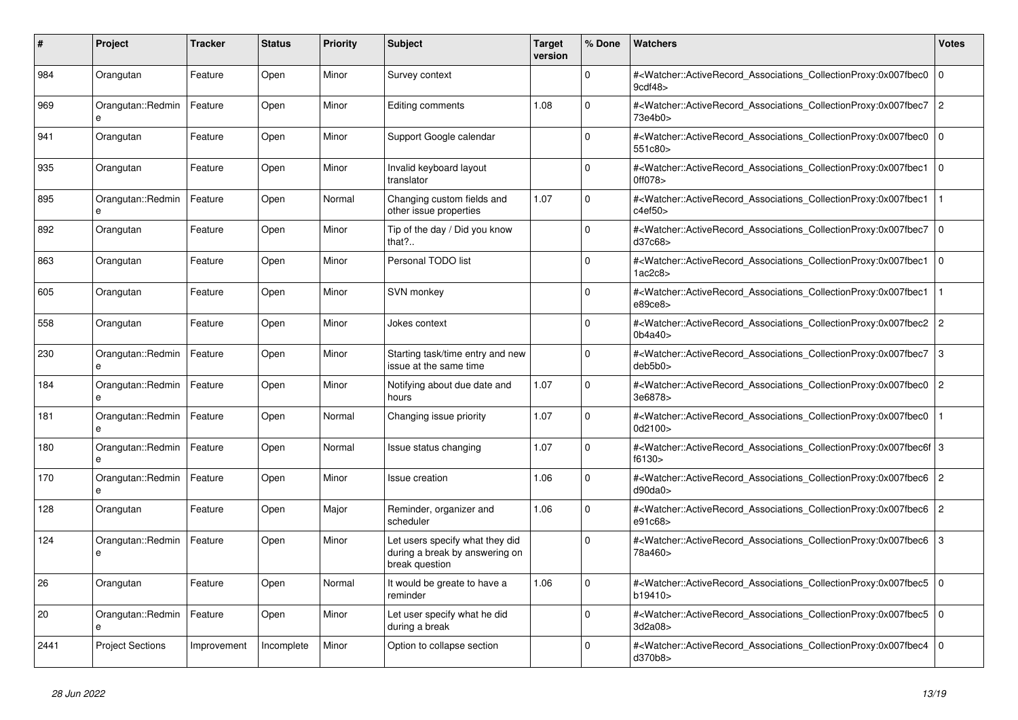| #    | <b>Project</b>                    | Tracker     | <b>Status</b> | <b>Priority</b> | <b>Subject</b>                                                                      | <b>Target</b><br>version | % Done      | <b>Watchers</b>                                                                                                                                              | <b>Votes</b>   |
|------|-----------------------------------|-------------|---------------|-----------------|-------------------------------------------------------------------------------------|--------------------------|-------------|--------------------------------------------------------------------------------------------------------------------------------------------------------------|----------------|
| 984  | Orangutan                         | Feature     | Open          | Minor           | Survey context                                                                      |                          | $\Omega$    | # <watcher::activerecord_associations_collectionproxy:0x007fbec0<br>9cdf48&gt;</watcher::activerecord_associations_collectionproxy:0x007fbec0<br>            | $\mathbf 0$    |
| 969  | Orangutan::Redmin<br>e            | Feature     | Open          | Minor           | Editing comments                                                                    | 1.08                     | $\Omega$    | # <watcher::activerecord_associations_collectionproxy:0x007fbec7<br>73e4b0&gt;</watcher::activerecord_associations_collectionproxy:0x007fbec7<br>            | $\overline{2}$ |
| 941  | Orangutan                         | Feature     | Open          | Minor           | Support Google calendar                                                             |                          | $\Omega$    | # <watcher::activerecord associations="" collectionproxy:0x007fbec0<br="">551c80&gt;</watcher::activerecord>                                                 | l O            |
| 935  | Orangutan                         | Feature     | Open          | Minor           | Invalid keyboard layout<br>translator                                               |                          | $\Omega$    | # <watcher::activerecord_associations_collectionproxy:0x007fbec1<br>0ff078</watcher::activerecord_associations_collectionproxy:0x007fbec1<br>                | $\Omega$       |
| 895  | Orangutan::Redmin<br>e            | Feature     | Open          | Normal          | Changing custom fields and<br>other issue properties                                | 1.07                     | $\Omega$    | # <watcher::activerecord_associations_collectionproxy:0x007fbec1<br>c4ef50</watcher::activerecord_associations_collectionproxy:0x007fbec1<br>                |                |
| 892  | Orangutan                         | Feature     | Open          | Minor           | Tip of the day / Did you know<br>that?                                              |                          | $\Omega$    | # <watcher::activerecord associations="" collectionproxy:0x007fbec7<br="">d37c68&gt;</watcher::activerecord>                                                 | l O            |
| 863  | Orangutan                         | Feature     | Open          | Minor           | Personal TODO list                                                                  |                          | $\Omega$    | # <watcher::activerecord associations="" collectionproxy:0x007fbec1<br="">1ac2c8</watcher::activerecord>                                                     | $\mathbf 0$    |
| 605  | Orangutan                         | Feature     | Open          | Minor           | SVN monkey                                                                          |                          | $\Omega$    | # <watcher::activerecord associations="" collectionproxy:0x007fbec1<br="">e89ce8&gt;</watcher::activerecord>                                                 |                |
| 558  | Orangutan                         | Feature     | Open          | Minor           | Jokes context                                                                       |                          | $\mathbf 0$ | # <watcher::activerecord_associations_collectionproxy:0x007fbec2<br>0b4a40&gt;</watcher::activerecord_associations_collectionproxy:0x007fbec2<br>            | $\overline{2}$ |
| 230  | Orangutan::Redmin                 | Feature     | Open          | Minor           | Starting task/time entry and new<br>issue at the same time                          |                          | $\Omega$    | # <watcher::activerecord_associations_collectionproxy:0x007fbec7<br>deb5b0<sub>&gt;</sub></watcher::activerecord_associations_collectionproxy:0x007fbec7<br> | 3              |
| 184  | Orangutan::Redmin<br>e            | Feature     | Open          | Minor           | Notifying about due date and<br>hours                                               | 1.07                     | $\Omega$    | # <watcher::activerecord_associations_collectionproxy:0x007fbec0<br>3e6878&gt;</watcher::activerecord_associations_collectionproxy:0x007fbec0<br>            | $\overline{2}$ |
| 181  | Orangutan::Redmin                 | Feature     | Open          | Normal          | Changing issue priority                                                             | 1.07                     | $\Omega$    | # <watcher::activerecord associations="" collectionproxy:0x007fbec0<br="">0d2100&gt;</watcher::activerecord>                                                 | $\mathbf{1}$   |
| 180  | Orangutan::Redmin<br>$\mathbf{a}$ | Feature     | Open          | Normal          | Issue status changing                                                               | 1.07                     | $\mathbf 0$ | # <watcher::activerecord_associations_collectionproxy:0x007fbec6f 3<br="">f6130</watcher::activerecord_associations_collectionproxy:0x007fbec6f>             |                |
| 170  | Orangutan::Redmin<br>e            | Feature     | Open          | Minor           | Issue creation                                                                      | 1.06                     | $\Omega$    | # <watcher::activerecord_associations_collectionproxy:0x007fbec6 2<br="">d90da0&gt;</watcher::activerecord_associations_collectionproxy:0x007fbec6>          |                |
| 128  | Orangutan                         | Feature     | Open          | Major           | Reminder, organizer and<br>scheduler                                                | 1.06                     | $\mathbf 0$ | # <watcher::activerecord_associations_collectionproxy:0x007fbec6<br>e91c68&gt;</watcher::activerecord_associations_collectionproxy:0x007fbec6<br>            | $\overline{2}$ |
| 124  | Orangutan::Redmin<br>e            | Feature     | Open          | Minor           | Let users specify what they did<br>during a break by answering on<br>break question |                          | $\Omega$    | # <watcher::activerecord_associations_collectionproxy:0x007fbec6 3<br="">78a460&gt;</watcher::activerecord_associations_collectionproxy:0x007fbec6>          |                |
| 26   | Orangutan                         | Feature     | Open          | Normal          | It would be greate to have a<br>reminder                                            | 1.06                     | $\Omega$    | # <watcher::activerecord 0<br="" associations="" collectionproxy:0x007fbec5=""  ="">b19410&gt;</watcher::activerecord>                                       |                |
| 20   | Orangutan::Redmin<br>e            | Feature     | Open          | Minor           | Let user specify what he did<br>during a break                                      |                          | $\mathbf 0$ | # <watcher::activerecord_associations_collectionproxy:0x007fbec5<br>3d2a08&gt;</watcher::activerecord_associations_collectionproxy:0x007fbec5<br>            | $\overline{0}$ |
| 2441 | <b>Project Sections</b>           | Improvement | Incomplete    | Minor           | Option to collapse section                                                          |                          | $\Omega$    | # <watcher::activerecord_associations_collectionproxy:0x007fbec4<br>d370b8&gt;</watcher::activerecord_associations_collectionproxy:0x007fbec4<br>            | $\Omega$       |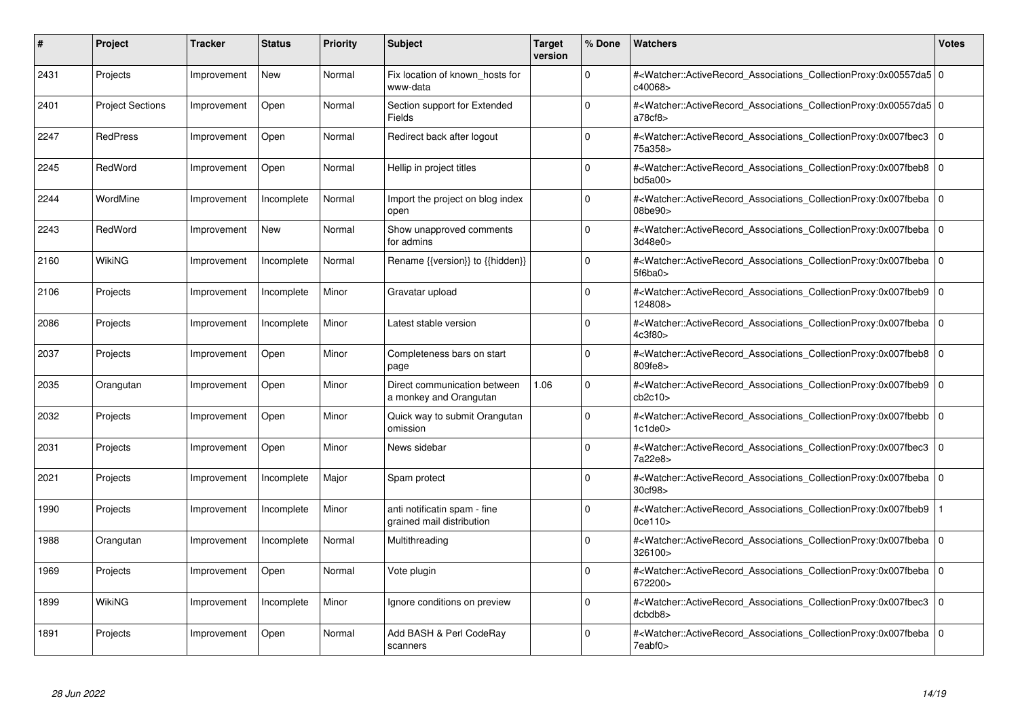| #    | Project                 | Tracker     | <b>Status</b> | <b>Priority</b> | <b>Subject</b>                                            | <b>Target</b><br>version | % Done      | <b>Watchers</b>                                                                                                                                                         | <b>Votes</b> |
|------|-------------------------|-------------|---------------|-----------------|-----------------------------------------------------------|--------------------------|-------------|-------------------------------------------------------------------------------------------------------------------------------------------------------------------------|--------------|
| 2431 | Projects                | Improvement | <b>New</b>    | Normal          | Fix location of known hosts for<br>www-data               |                          | $\Omega$    | # <watcher::activerecord 0<br="" associations="" collectionproxy:0x00557da5=""  ="">c40068&gt;</watcher::activerecord>                                                  |              |
| 2401 | <b>Project Sections</b> | Improvement | Open          | Normal          | Section support for Extended<br>Fields                    |                          | $\Omega$    | # <watcher::activerecord_associations_collectionproxy:0x00557da5 0<br=""  ="">a78cf8</watcher::activerecord_associations_collectionproxy:0x00557da5>                    |              |
| 2247 | <b>RedPress</b>         | Improvement | Open          | Normal          | Redirect back after logout                                |                          | $\Omega$    | # <watcher::activerecord associations="" collectionproxy:0x007fbec3<br="">75a358&gt;</watcher::activerecord>                                                            | $\mathbf{0}$ |
| 2245 | RedWord                 | Improvement | Open          | Normal          | Hellip in project titles                                  |                          | $\Omega$    | # <watcher::activerecord associations="" collectionproxy:0x007fbeb8=""  <br="">bd5a00&gt;</watcher::activerecord>                                                       | $\mathbf 0$  |
| 2244 | WordMine                | Improvement | Incomplete    | Normal          | Import the project on blog index<br>open                  |                          | $\Omega$    | # <watcher::activerecord_associations_collectionproxy:0x007fbeba 0<br="">08be90&gt;</watcher::activerecord_associations_collectionproxy:0x007fbeba>                     |              |
| 2243 | RedWord                 | Improvement | New           | Normal          | Show unapproved comments<br>for admins                    |                          | $\Omega$    | # <watcher::activerecord 0<br="" associations="" collectionproxy:0x007fbeba=""  ="">3d48e0&gt;</watcher::activerecord>                                                  |              |
| 2160 | <b>WikiNG</b>           | Improvement | Incomplete    | Normal          | Rename {{version}} to {{hidden}}                          |                          | $\Omega$    | # <watcher::activerecord_associations_collectionproxy:0x007fbeba 0<br=""  ="">5f6ba0&gt;</watcher::activerecord_associations_collectionproxy:0x007fbeba>                |              |
| 2106 | Projects                | Improvement | Incomplete    | Minor           | Gravatar upload                                           |                          | $\Omega$    | # <watcher::activerecord associations="" collectionproxy:0x007fbeb9=""  <br="">124808&gt;</watcher::activerecord>                                                       | $\mathbf 0$  |
| 2086 | Projects                | Improvement | Incomplete    | Minor           | Latest stable version                                     |                          | $\Omega$    | # <watcher::activerecord_associations_collectionproxy:0x007fbeba 0<br=""  ="">4c3f80&gt;</watcher::activerecord_associations_collectionproxy:0x007fbeba>                |              |
| 2037 | Projects                | Improvement | Open          | Minor           | Completeness bars on start<br>page                        |                          | $\Omega$    | # <watcher::activerecord associations="" collectionproxy:0x007fbeb8<br="">809fe8&gt;</watcher::activerecord>                                                            | $\Omega$     |
| 2035 | Orangutan               | Improvement | Open          | Minor           | Direct communication between<br>a monkey and Orangutan    | 1.06                     | $\Omega$    | # <watcher::activerecord 0<br="" associations="" collectionproxy:0x007fbeb9=""  ="">cb2c10<sub>&gt;</sub></watcher::activerecord>                                       |              |
| 2032 | Projects                | Improvement | Open          | Minor           | Quick way to submit Orangutan<br>omission                 |                          | $\Omega$    | # <watcher::activerecord associations="" collectionproxy:0x007fbebb=""  <br="">1c1de0</watcher::activerecord>                                                           | $\Omega$     |
| 2031 | Projects                | Improvement | Open          | Minor           | News sidebar                                              |                          | $\Omega$    | # <watcher::activerecord associations="" collectionproxy:0x007fbec3<br="">7a22e8&gt;</watcher::activerecord>                                                            | $\mathbf 0$  |
| 2021 | Projects                | Improvement | Incomplete    | Major           | Spam protect                                              |                          | $\mathbf 0$ | # <watcher::activerecord_associations_collectionproxy:0x007fbeba 0<br=""  ="">30cf98&gt;</watcher::activerecord_associations_collectionproxy:0x007fbeba>                |              |
| 1990 | Projects                | Improvement | Incomplete    | Minor           | anti notificatin spam - fine<br>grained mail distribution |                          | $\Omega$    | # <watcher::activerecord_associations_collectionproxy:0x007fbeb9<br><math>0</math>ce<math>110</math></watcher::activerecord_associations_collectionproxy:0x007fbeb9<br> |              |
| 1988 | Orangutan               | Improvement | Incomplete    | Normal          | Multithreading                                            |                          | $\Omega$    | # <watcher::activerecord 0<br="" associations="" collectionproxy:0x007fbeba=""  ="">326100&gt;</watcher::activerecord>                                                  |              |
| 1969 | Projects                | Improvement | Open          | Normal          | Vote plugin                                               |                          | $\Omega$    | # <watcher::activerecord_associations_collectionproxy:0x007fbeba  <br="">672200&gt;</watcher::activerecord_associations_collectionproxy:0x007fbeba>                     | $\mathbf 0$  |
| 1899 | WikiNG                  | Improvement | Incomplete    | Minor           | Ignore conditions on preview                              |                          | $\Omega$    | # <watcher::activerecord associations="" collectionproxy:0x007fbec3<br="">dcbdb8&gt;</watcher::activerecord>                                                            | $\mathbf{0}$ |
| 1891 | Projects                | Improvement | Open          | Normal          | Add BASH & Perl CodeRay<br>scanners                       |                          | $\Omega$    | # <watcher::activerecord_associations_collectionproxy:0x007fbeba 0<br=""  ="">7eabf0&gt;</watcher::activerecord_associations_collectionproxy:0x007fbeba>                |              |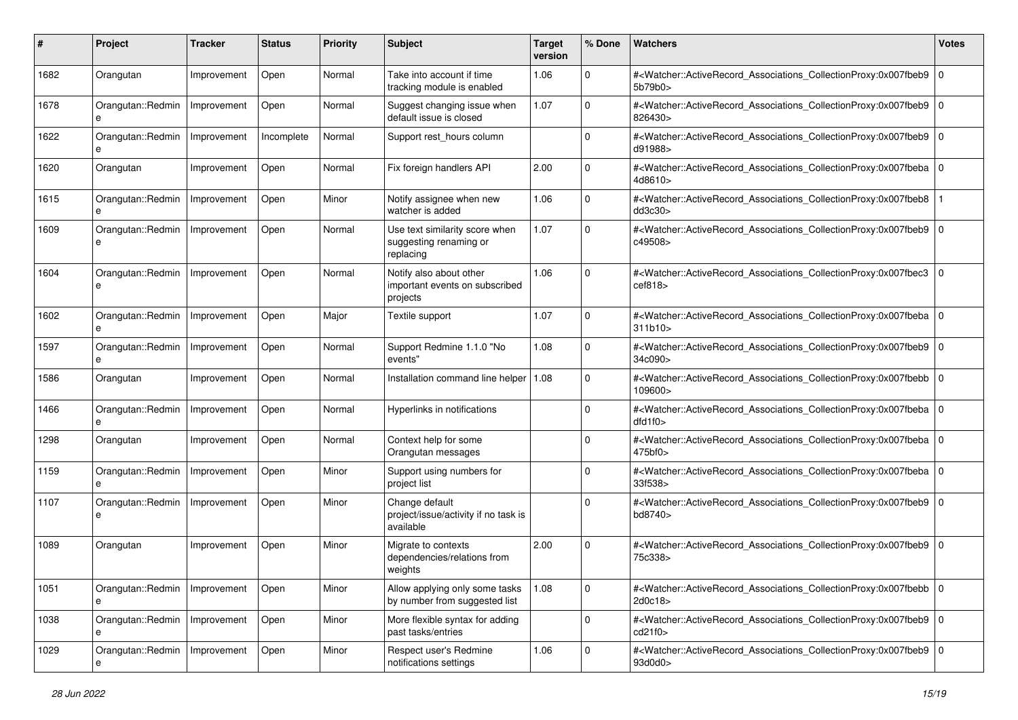| #    | Project                | <b>Tracker</b> | <b>Status</b> | <b>Priority</b> | <b>Subject</b>                                                        | <b>Target</b><br>version | % Done      | Watchers                                                                                                                                                                       | <b>Votes</b> |
|------|------------------------|----------------|---------------|-----------------|-----------------------------------------------------------------------|--------------------------|-------------|--------------------------------------------------------------------------------------------------------------------------------------------------------------------------------|--------------|
| 1682 | Orangutan              | Improvement    | Open          | Normal          | Take into account if time<br>tracking module is enabled               | 1.06                     | $\Omega$    | # <watcher::activerecord_associations_collectionproxy:0x007fbeb9<br>5b79b0&gt;</watcher::activerecord_associations_collectionproxy:0x007fbeb9<br>                              | $\mathbf{0}$ |
| 1678 | Orangutan::Redmin<br>e | Improvement    | Open          | Normal          | Suggest changing issue when<br>default issue is closed                | 1.07                     | $\Omega$    | # <watcher::activerecord_associations_collectionproxy:0x007fbeb9  <br="">826430&gt;</watcher::activerecord_associations_collectionproxy:0x007fbeb9>                            | $\mathbf 0$  |
| 1622 | Orangutan::Redmin<br>e | Improvement    | Incomplete    | Normal          | Support rest_hours column                                             |                          | $\Omega$    | # <watcher::activerecord_associations_collectionproxy:0x007fbeb9 0<br=""  ="">d91988&gt;</watcher::activerecord_associations_collectionproxy:0x007fbeb9>                       |              |
| 1620 | Orangutan              | Improvement    | Open          | Normal          | Fix foreign handlers API                                              | 2.00                     | $\Omega$    | # <watcher::activerecord_associations_collectionproxy:0x007fbeba 0<br="">4d8610&gt;</watcher::activerecord_associations_collectionproxy:0x007fbeba>                            |              |
| 1615 | Orangutan::Redmin<br>e | Improvement    | Open          | Minor           | Notify assignee when new<br>watcher is added                          | 1.06                     | $\Omega$    | # <watcher::activerecord_associations_collectionproxy:0x007fbeb8<br>dd3c30<sub>&gt;</sub></watcher::activerecord_associations_collectionproxy:0x007fbeb8<br>                   |              |
| 1609 | Orangutan::Redmin<br>e | Improvement    | Open          | Normal          | Use text similarity score when<br>suggesting renaming or<br>replacing | 1.07                     | $\Omega$    | # <watcher::activerecord_associations_collectionproxy:0x007fbeb9  <br="">c49508&gt;</watcher::activerecord_associations_collectionproxy:0x007fbeb9>                            | $\mathbf 0$  |
| 1604 | Orangutan::Redmin<br>e | Improvement    | Open          | Normal          | Notify also about other<br>important events on subscribed<br>projects | 1.06                     | $\Omega$    | # <watcher::activerecord_associations_collectionproxy:0x007fbec3 0<br="">cef818</watcher::activerecord_associations_collectionproxy:0x007fbec3>                                |              |
| 1602 | Orangutan::Redmin      | Improvement    | Open          | Major           | Textile support                                                       | 1.07                     | $\Omega$    | # <watcher::activerecord_associations_collectionproxy:0x007fbeba 0<br=""  ="">311b10</watcher::activerecord_associations_collectionproxy:0x007fbeba>                           |              |
| 1597 | Orangutan::Redmin      | Improvement    | Open          | Normal          | Support Redmine 1.1.0 "No<br>events"                                  | 1.08                     | $\Omega$    | # <watcher::activerecord_associations_collectionproxy:0x007fbeb9  <br="">34c090&gt;</watcher::activerecord_associations_collectionproxy:0x007fbeb9>                            | $\mathbf 0$  |
| 1586 | Orangutan              | Improvement    | Open          | Normal          | Installation command line helper                                      | 1.08                     | $\Omega$    | # <watcher::activerecord_associations_collectionproxy:0x007fbebb  <br="">109600&gt;</watcher::activerecord_associations_collectionproxy:0x007fbebb>                            | $\Omega$     |
| 1466 | Orangutan::Redmin<br>e | Improvement    | Open          | Normal          | Hyperlinks in notifications                                           |                          | $\Omega$    | # <watcher::activerecord_associations_collectionproxy:0x007fbeba 0<br=""  ="">dfd1f0</watcher::activerecord_associations_collectionproxy:0x007fbeba>                           |              |
| 1298 | Orangutan              | Improvement    | Open          | Normal          | Context help for some<br>Orangutan messages                           |                          | $\Omega$    | # <watcher::activerecord_associations_collectionproxy:0x007fbeba 0<br=""  ="">475<sub>b</sub>f0<sub>&gt;</sub></watcher::activerecord_associations_collectionproxy:0x007fbeba> |              |
| 1159 | Orangutan::Redmin<br>e | Improvement    | Open          | Minor           | Support using numbers for<br>project list                             |                          | $\Omega$    | # <watcher::activerecord_associations_collectionproxy:0x007fbeba  <br="">33f538&gt;</watcher::activerecord_associations_collectionproxy:0x007fbeba>                            | $\mathbf 0$  |
| 1107 | Orangutan::Redmin<br>e | Improvement    | Open          | Minor           | Change default<br>project/issue/activity if no task is<br>available   |                          | $\Omega$    | # <watcher::activerecord_associations_collectionproxy:0x007fbeb9  <br="">bd8740&gt;</watcher::activerecord_associations_collectionproxy:0x007fbeb9>                            | $\mathbf 0$  |
| 1089 | Orangutan              | Improvement    | Open          | Minor           | Migrate to contexts<br>dependencies/relations from<br>weights         | 2.00                     | $\Omega$    | # <watcher::activerecord_associations_collectionproxy:0x007fbeb9  <br="">75c338&gt;</watcher::activerecord_associations_collectionproxy:0x007fbeb9>                            | $\mathbf 0$  |
| 1051 | Orangutan::Redmin<br>e | Improvement    | Open          | Minor           | Allow applying only some tasks<br>by number from suggested list       | 1.08                     | $\mathbf 0$ | # <watcher::activerecord 0<br="" associations="" collectionproxy:0x007fbebb="">2d0c18&gt;</watcher::activerecord>                                                              |              |
| 1038 | Orangutan::Redmin      | Improvement    | Open          | Minor           | More flexible syntax for adding<br>past tasks/entries                 |                          | $\mathbf 0$ | # <watcher::activerecord_associations_collectionproxy:0x007fbeb9 0<br="">cd21f0</watcher::activerecord_associations_collectionproxy:0x007fbeb9>                                |              |
| 1029 | Orangutan::Redmin<br>e | Improvement    | Open          | Minor           | Respect user's Redmine<br>notifications settings                      | 1.06                     | 0           | # <watcher::activerecord_associations_collectionproxy:0x007fbeb9 0<br="">93d0d0&gt;</watcher::activerecord_associations_collectionproxy:0x007fbeb9>                            |              |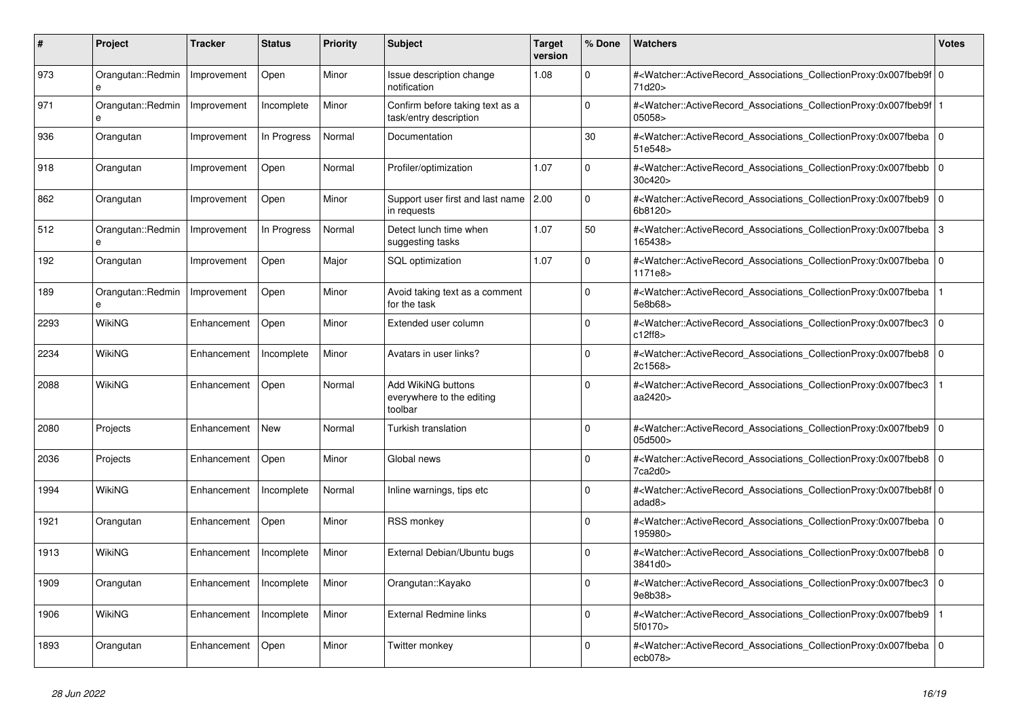| #    | <b>Project</b>         | Tracker     | <b>Status</b> | <b>Priority</b> | <b>Subject</b>                                             | <b>Target</b><br>version | % Done   | <b>Watchers</b>                                                                                                                                           | <b>Votes</b> |
|------|------------------------|-------------|---------------|-----------------|------------------------------------------------------------|--------------------------|----------|-----------------------------------------------------------------------------------------------------------------------------------------------------------|--------------|
| 973  | Orangutan::Redmin<br>e | Improvement | Open          | Minor           | Issue description change<br>notification                   | 1.08                     | $\Omega$ | # <watcher::activerecord_associations_collectionproxy:0x007fbeb9f 0<br=""  ="">71d20&gt;</watcher::activerecord_associations_collectionproxy:0x007fbeb9f> |              |
| 971  | Orangutan::Redmin<br>e | Improvement | Incomplete    | Minor           | Confirm before taking text as a<br>task/entry description  |                          | $\Omega$ | # <watcher::activerecord_associations_collectionproxy:0x007fbeb9f<br>05058&gt;</watcher::activerecord_associations_collectionproxy:0x007fbeb9f<br>        |              |
| 936  | Orangutan              | Improvement | In Progress   | Normal          | Documentation                                              |                          | 30       | # <watcher::activerecord 0<br="" associations="" collectionproxy:0x007fbeba=""  ="">51e548&gt;</watcher::activerecord>                                    |              |
| 918  | Orangutan              | Improvement | Open          | Normal          | Profiler/optimization                                      | 1.07                     | $\Omega$ | # <watcher::activerecord_associations_collectionproxy:0x007fbebb<br>30c420</watcher::activerecord_associations_collectionproxy:0x007fbebb<br>             | $\mathbf 0$  |
| 862  | Orangutan              | Improvement | Open          | Minor           | Support user first and last name<br>in requests            | 2.00                     | $\Omega$ | # <watcher::activerecord_associations_collectionproxy:0x007fbeb9<br>6b8120&gt;</watcher::activerecord_associations_collectionproxy:0x007fbeb9<br>         | $\Omega$     |
| 512  | Orangutan::Redmin<br>e | Improvement | In Progress   | Normal          | Detect lunch time when<br>suggesting tasks                 | 1.07                     | 50       | # <watcher::activerecord associations="" collectionproxy:0x007fbeba=""  <br="">165438&gt;</watcher::activerecord>                                         | 3            |
| 192  | Orangutan              | Improvement | Open          | Major           | SQL optimization                                           | 1.07                     | $\Omega$ | # <watcher::activerecord associations="" collectionproxy:0x007fbeba<br="">1171e8&gt;</watcher::activerecord>                                              | $\mathbf 0$  |
| 189  | Orangutan::Redmin<br>e | Improvement | Open          | Minor           | Avoid taking text as a comment<br>for the task             |                          | $\Omega$ | # <watcher::activerecord_associations_collectionproxy:0x007fbeba<br>5e8b68&gt;</watcher::activerecord_associations_collectionproxy:0x007fbeba<br>         |              |
| 2293 | WikiNG                 | Enhancement | Open          | Minor           | Extended user column                                       |                          | $\Omega$ | # <watcher::activerecord_associations_collectionproxy:0x007fbec3  <br="">c12ff8&gt;</watcher::activerecord_associations_collectionproxy:0x007fbec3>       | $\mathbf 0$  |
| 2234 | WikiNG                 | Enhancement | Incomplete    | Minor           | Avatars in user links?                                     |                          | $\Omega$ | # <watcher::activerecord associations="" collectionproxy:0x007fbeb8<br="">2c1568&gt;</watcher::activerecord>                                              | $\mathbf 0$  |
| 2088 | WikiNG                 | Enhancement | Open          | Normal          | Add WikiNG buttons<br>everywhere to the editing<br>toolbar |                          | $\Omega$ | # <watcher::activerecord_associations_collectionproxy:0x007fbec3<br>aa2420&gt;</watcher::activerecord_associations_collectionproxy:0x007fbec3<br>         |              |
| 2080 | Projects               | Enhancement | New           | Normal          | Turkish translation                                        |                          | $\Omega$ | # <watcher::activerecord 0<br="" associations="" collectionproxy:0x007fbeb9=""  ="">05d500&gt;</watcher::activerecord>                                    |              |
| 2036 | Projects               | Enhancement | Open          | Minor           | Global news                                                |                          | $\Omega$ | # <watcher::activerecord_associations_collectionproxy:0x007fbeb8  <br="">7ca2d0&gt;</watcher::activerecord_associations_collectionproxy:0x007fbeb8>       | $\Omega$     |
| 1994 | WikiNG                 | Enhancement | Incomplete    | Normal          | Inline warnings, tips etc                                  |                          | $\Omega$ | # <watcher::activerecord 0<br="" associations="" collectionproxy:0x007fbeb8f=""  ="">adad8&gt;</watcher::activerecord>                                    |              |
| 1921 | Orangutan              | Enhancement | Open          | Minor           | <b>RSS monkey</b>                                          |                          | $\Omega$ | # <watcher::activerecord_associations_collectionproxy:0x007fbeba 0<br=""  ="">195980&gt;</watcher::activerecord_associations_collectionproxy:0x007fbeba>  |              |
| 1913 | WikiNG                 | Enhancement | Incomplete    | Minor           | External Debian/Ubuntu bugs                                |                          | $\Omega$ | # <watcher::activerecord_associations_collectionproxy:0x007fbeb8  <br="">3841d0&gt;</watcher::activerecord_associations_collectionproxy:0x007fbeb8>       | $\Omega$     |
| 1909 | Orangutan              | Enhancement | Incomplete    | Minor           | Orangutan::Kayako                                          |                          | $\Omega$ | # <watcher::activerecord 0<br="" associations="" collectionproxy:0x007fbec3=""  ="">9e8b38&gt;</watcher::activerecord>                                    |              |
| 1906 | WikiNG                 | Enhancement | Incomplete    | Minor           | External Redmine links                                     |                          | $\Omega$ | # <watcher::activerecord_associations_collectionproxy:0x007fbeb9<br>5f0170&gt;</watcher::activerecord_associations_collectionproxy:0x007fbeb9<br>         |              |
| 1893 | Orangutan              | Enhancement | Open          | Minor           | Twitter monkey                                             |                          | $\Omega$ | # <watcher::activerecord_associations_collectionproxy:0x007fbeba  <br="">ecb078</watcher::activerecord_associations_collectionproxy:0x007fbeba>           | $\mathbf 0$  |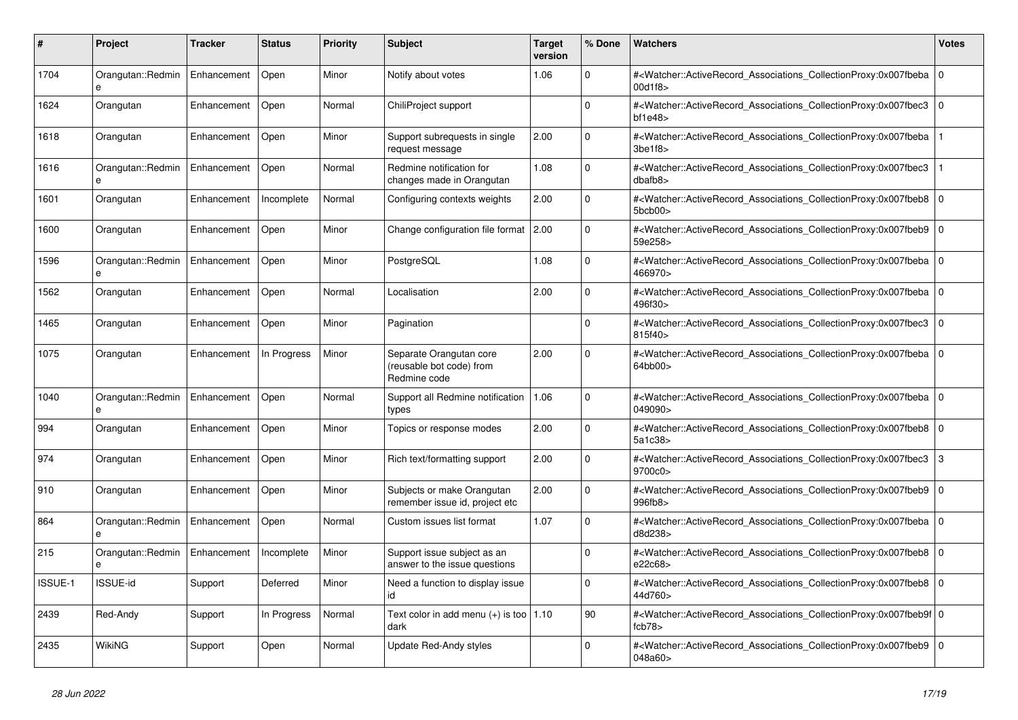| #       | <b>Project</b>         | Tracker     | <b>Status</b> | <b>Priority</b> | <b>Subject</b>                                                      | <b>Target</b><br>version | % Done       | <b>Watchers</b>                                                                                                                                                             | <b>Votes</b>   |
|---------|------------------------|-------------|---------------|-----------------|---------------------------------------------------------------------|--------------------------|--------------|-----------------------------------------------------------------------------------------------------------------------------------------------------------------------------|----------------|
| 1704    | Orangutan::Redmin<br>e | Enhancement | Open          | Minor           | Notify about votes                                                  | 1.06                     | $\Omega$     | # <watcher::activerecord_associations_collectionproxy:0x007fbeba<br>00d1f8&gt;</watcher::activerecord_associations_collectionproxy:0x007fbeba<br>                           | $\Omega$       |
| 1624    | Orangutan              | Enhancement | Open          | Normal          | ChiliProject support                                                |                          | $\mathbf{0}$ | # <watcher::activerecord_associations_collectionproxy:0x007fbec3<br><math>b</math>f1e48<math>&gt;</math></watcher::activerecord_associations_collectionproxy:0x007fbec3<br> | $\overline{0}$ |
| 1618    | Orangutan              | Enhancement | Open          | Minor           | Support subrequests in single<br>request message                    | 2.00                     | $\mathbf 0$  | # <watcher::activerecord associations="" collectionproxy:0x007fbeba<br="">3<sub>be1f8</sub></watcher::activerecord>                                                         |                |
| 1616    | Orangutan::Redmin      | Enhancement | Open          | Normal          | Redmine notification for<br>changes made in Orangutan               | 1.08                     | $\Omega$     | # <watcher::activerecord_associations_collectionproxy:0x007fbec3<br>dbafb8</watcher::activerecord_associations_collectionproxy:0x007fbec3<br>                               |                |
| 1601    | Orangutan              | Enhancement | Incomplete    | Normal          | Configuring contexts weights                                        | 2.00                     | $\mathbf 0$  | # <watcher::activerecord_associations_collectionproxy:0x007fbeb8 0<br="">5bcb00&gt;</watcher::activerecord_associations_collectionproxy:0x007fbeb8>                         |                |
| 1600    | Orangutan              | Enhancement | Open          | Minor           | Change configuration file format 2.00                               |                          | $\Omega$     | # <watcher::activerecord_associations_collectionproxy:0x007fbeb9 0<br=""  ="">59e258&gt;</watcher::activerecord_associations_collectionproxy:0x007fbeb9>                    |                |
| 1596    | Orangutan::Redmin      | Enhancement | Open          | Minor           | PostgreSQL                                                          | 1.08                     | $\Omega$     | # <watcher::activerecord associations="" collectionproxy:0x007fbeba<br="">466970&gt;</watcher::activerecord>                                                                | $\Omega$       |
| 1562    | Orangutan              | Enhancement | Open          | Normal          | Localisation                                                        | 2.00                     | $\Omega$     | # <watcher::activerecord_associations_collectionproxy:0x007fbeba 0<br=""  ="">496f30&gt;</watcher::activerecord_associations_collectionproxy:0x007fbeba>                    |                |
| 1465    | Orangutan              | Enhancement | Open          | Minor           | Pagination                                                          |                          | $\Omega$     | # <watcher::activerecord associations="" collectionproxy:0x007fbec3<br="">815f40&gt;</watcher::activerecord>                                                                | l 0            |
| 1075    | Orangutan              | Enhancement | In Progress   | Minor           | Separate Orangutan core<br>(reusable bot code) from<br>Redmine code | 2.00                     | $\Omega$     | # <watcher::activerecord_associations_collectionproxy:0x007fbeba<br>64bb00&gt;</watcher::activerecord_associations_collectionproxy:0x007fbeba<br>                           | $\mathbf 0$    |
| 1040    | Orangutan::Redmin<br>e | Enhancement | Open          | Normal          | Support all Redmine notification<br>types                           | 1.06                     | $\Omega$     | # <watcher::activerecord 0<br="" associations="" collectionproxy:0x007fbeba=""  ="">049090&gt;</watcher::activerecord>                                                      |                |
| 994     | Orangutan              | Enhancement | Open          | Minor           | Topics or response modes                                            | 2.00                     | $\mathbf 0$  | # <watcher::activerecord associations="" collectionproxy:0x007fbeb8<br="">5a1c38&gt;</watcher::activerecord>                                                                | l 0            |
| 974     | Orangutan              | Enhancement | Open          | Minor           | Rich text/formatting support                                        | 2.00                     | $\mathbf 0$  | # <watcher::activerecord_associations_collectionproxy:0x007fbec3<br>9700c0&gt;</watcher::activerecord_associations_collectionproxy:0x007fbec3<br>                           | 3              |
| 910     | Orangutan              | Enhancement | Open          | Minor           | Subjects or make Orangutan<br>remember issue id, project etc        | 2.00                     | $\Omega$     | # <watcher::activerecord associations="" collectionproxy:0x007fbeb9<br="">996fb8</watcher::activerecord>                                                                    | $\overline{0}$ |
| 864     | Orangutan::Redmin<br>e | Enhancement | Open          | Normal          | Custom issues list format                                           | 1.07                     | $\Omega$     | # <watcher::activerecord associations="" collectionproxy:0x007fbeba<br="">d8d238&gt;</watcher::activerecord>                                                                | $\Omega$       |
| 215     | Orangutan::Redmin<br>e | Enhancement | Incomplete    | Minor           | Support issue subject as an<br>answer to the issue questions        |                          | $\mathbf 0$  | # <watcher::activerecord_associations_collectionproxy:0x007fbeb8<br>e22c68&gt;</watcher::activerecord_associations_collectionproxy:0x007fbeb8<br>                           | $\Omega$       |
| ISSUE-1 | <b>ISSUE-id</b>        | Support     | Deferred      | Minor           | Need a function to display issue<br>id                              |                          | $\Omega$     | # <watcher::activerecord_associations_collectionproxy:0x007fbeb8 0<br="">44d760&gt;</watcher::activerecord_associations_collectionproxy:0x007fbeb8>                         |                |
| 2439    | Red-Andy               | Support     | In Progress   | Normal          | Text color in add menu (+) is too   1.10<br>dark                    |                          | 90           | # <watcher::activerecord 0<br="" associations="" collectionproxy:0x007fbeb9f=""  ="">fcb78</watcher::activerecord>                                                          |                |
| 2435    | WikiNG                 | Support     | Open          | Normal          | Update Red-Andy styles                                              |                          | $\Omega$     | # <watcher::activerecord_associations_collectionproxy:0x007fbeb9 0<br=""  ="">048a60&gt;</watcher::activerecord_associations_collectionproxy:0x007fbeb9>                    |                |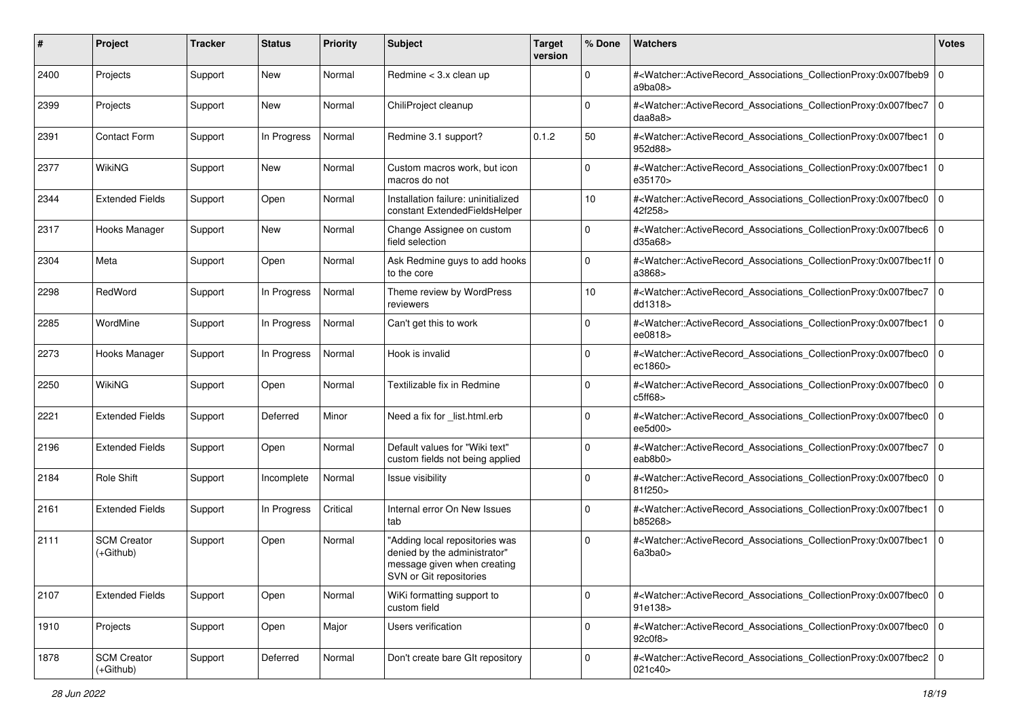| #    | Project                         | <b>Tracker</b> | <b>Status</b> | <b>Priority</b> | <b>Subject</b>                                                                                                           | <b>Target</b><br>version | % Done      | Watchers                                                                                                                                                   | <b>Votes</b> |
|------|---------------------------------|----------------|---------------|-----------------|--------------------------------------------------------------------------------------------------------------------------|--------------------------|-------------|------------------------------------------------------------------------------------------------------------------------------------------------------------|--------------|
| 2400 | Projects                        | Support        | New           | Normal          | Redmine < 3.x clean up                                                                                                   |                          | $\mathbf 0$ | # <watcher::activerecord_associations_collectionproxy:0x007fbeb9<br>a9ba08</watcher::activerecord_associations_collectionproxy:0x007fbeb9<br>              | 0            |
| 2399 | Projects                        | Support        | New           | Normal          | ChiliProject cleanup                                                                                                     |                          | $\Omega$    | # <watcher::activerecord_associations_collectionproxy:0x007fbec7<br>daa8a8</watcher::activerecord_associations_collectionproxy:0x007fbec7<br>              | 0            |
| 2391 | <b>Contact Form</b>             | Support        | In Progress   | Normal          | Redmine 3.1 support?                                                                                                     | 0.1.2                    | 50          | # <watcher::activerecord_associations_collectionproxy:0x007fbec1<br>952d88&gt;</watcher::activerecord_associations_collectionproxy:0x007fbec1<br>          | l O          |
| 2377 | WikiNG                          | Support        | New           | Normal          | Custom macros work, but icon<br>macros do not                                                                            |                          | $\mathbf 0$ | # <watcher::activerecord_associations_collectionproxy:0x007fbec1<br>e35170&gt;</watcher::activerecord_associations_collectionproxy:0x007fbec1<br>          | l 0          |
| 2344 | <b>Extended Fields</b>          | Support        | Open          | Normal          | Installation failure: uninitialized<br>constant ExtendedFieldsHelper                                                     |                          | 10          | # <watcher::activerecord_associations_collectionproxy:0x007fbec0<br>42f258&gt;</watcher::activerecord_associations_collectionproxy:0x007fbec0<br>          | l O          |
| 2317 | Hooks Manager                   | Support        | New           | Normal          | Change Assignee on custom<br>field selection                                                                             |                          | $\Omega$    | # <watcher::activerecord_associations_collectionproxy:0x007fbec6<br>d35a68&gt;</watcher::activerecord_associations_collectionproxy:0x007fbec6<br>          | l O          |
| 2304 | Meta                            | Support        | Open          | Normal          | Ask Redmine guys to add hooks<br>to the core                                                                             |                          | $\Omega$    | # <watcher::activerecord_associations_collectionproxy:0x007fbec1f 0<br=""  ="">a3868&gt;</watcher::activerecord_associations_collectionproxy:0x007fbec1f>  |              |
| 2298 | RedWord                         | Support        | In Progress   | Normal          | Theme review by WordPress<br>reviewers                                                                                   |                          | 10          | # <watcher::activerecord_associations_collectionproxy:0x007fbec7<br>dd1318&gt;</watcher::activerecord_associations_collectionproxy:0x007fbec7<br>          | l 0          |
| 2285 | WordMine                        | Support        | In Progress   | Normal          | Can't get this to work                                                                                                   |                          | $\Omega$    | # <watcher::activerecord_associations_collectionproxy:0x007fbec1<br>ee0818&gt;</watcher::activerecord_associations_collectionproxy:0x007fbec1<br>          | 0            |
| 2273 | Hooks Manager                   | Support        | In Progress   | Normal          | Hook is invalid                                                                                                          |                          | 0           | # <watcher::activerecord_associations_collectionproxy:0x007fbec0<br>ec1860&gt;</watcher::activerecord_associations_collectionproxy:0x007fbec0<br>          | l 0          |
| 2250 | <b>WikiNG</b>                   | Support        | Open          | Normal          | Textilizable fix in Redmine                                                                                              |                          | $\Omega$    | # <watcher::activerecord_associations_collectionproxy:0x007fbec0<br>c5ff68&gt;</watcher::activerecord_associations_collectionproxy:0x007fbec0<br>          | 0            |
| 2221 | <b>Extended Fields</b>          | Support        | Deferred      | Minor           | Need a fix for _list.html.erb                                                                                            |                          | $\Omega$    | # <watcher::activerecord_associations_collectionproxy:0x007fbec0<br>ee5d00&gt;</watcher::activerecord_associations_collectionproxy:0x007fbec0<br>          | l O          |
| 2196 | <b>Extended Fields</b>          | Support        | Open          | Normal          | Default values for "Wiki text"<br>custom fields not being applied                                                        |                          | $\Omega$    | # <watcher::activerecord_associations_collectionproxy:0x007fbec7<br>eab<math>8b0</math></watcher::activerecord_associations_collectionproxy:0x007fbec7<br> | 0            |
| 2184 | Role Shift                      | Support        | Incomplete    | Normal          | Issue visibility                                                                                                         |                          | $\Omega$    | # <watcher::activerecord_associations_collectionproxy:0x007fbec0<br>81f250&gt;</watcher::activerecord_associations_collectionproxy:0x007fbec0<br>          | l 0          |
| 2161 | <b>Extended Fields</b>          | Support        | In Progress   | Critical        | Internal error On New Issues<br>tab                                                                                      |                          | $\mathbf 0$ | # <watcher::activerecord_associations_collectionproxy:0x007fbec1<br>b85268&gt;</watcher::activerecord_associations_collectionproxy:0x007fbec1<br>          | l 0          |
| 2111 | <b>SCM Creator</b><br>(+Github) | Support        | Open          | Normal          | "Adding local repositories was<br>denied by the administrator"<br>message given when creating<br>SVN or Git repositories |                          | $\Omega$    | # <watcher::activerecord_associations_collectionproxy:0x007fbec1<br>6a3ba0&gt;</watcher::activerecord_associations_collectionproxy:0x007fbec1<br>          | 0            |
| 2107 | <b>Extended Fields</b>          | Support        | Open          | Normal          | WiKi formatting support to<br>custom field                                                                               |                          | $\mathbf 0$ | # <watcher::activerecord_associations_collectionproxy:0x007fbec0 0<br=""  ="">91e138&gt;</watcher::activerecord_associations_collectionproxy:0x007fbec0>   |              |
| 1910 | Projects                        | Support        | Open          | Major           | Users verification                                                                                                       |                          | $\mathbf 0$ | # <watcher::activerecord_associations_collectionproxy:0x007fbec0 0<br="">92c0f8&gt;</watcher::activerecord_associations_collectionproxy:0x007fbec0>        |              |
| 1878 | <b>SCM Creator</b><br>(+Github) | Support        | Deferred      | Normal          | Don't create bare GIt repository                                                                                         |                          | $\mathbf 0$ | # <watcher::activerecord_associations_collectionproxy:0x007fbec2 0<br="">021c40&gt;</watcher::activerecord_associations_collectionproxy:0x007fbec2>        |              |